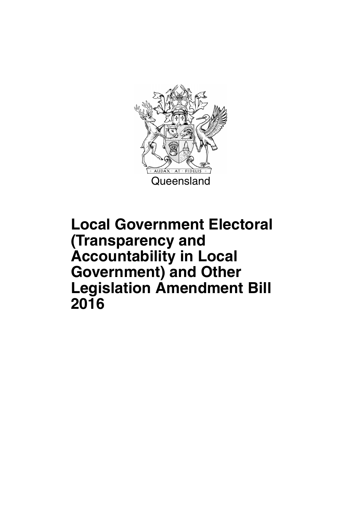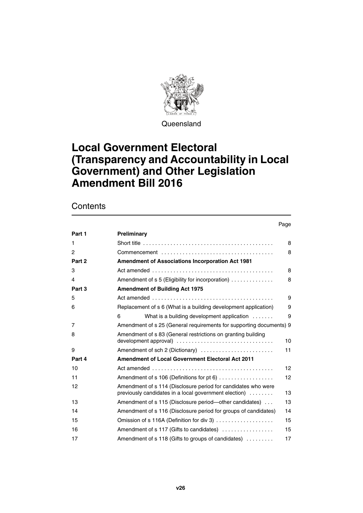

**Queensland** 

### **Local Government Electoral (Transparency and Accountability in Local Government) and Other Legislation Amendment Bill 2016**

### **Contents**

#### Page

| Part 1 | Preliminary                                                                                                            |                 |
|--------|------------------------------------------------------------------------------------------------------------------------|-----------------|
| 1      |                                                                                                                        | 8               |
| 2      |                                                                                                                        | 8               |
| Part 2 | Amendment of Associations Incorporation Act 1981                                                                       |                 |
| 3      |                                                                                                                        | 8               |
| 4      | Amendment of s 5 (Eligibility for incorporation)                                                                       | 8               |
| Part 3 | <b>Amendment of Building Act 1975</b>                                                                                  |                 |
| 5      |                                                                                                                        | 9               |
| 6      | Replacement of s 6 (What is a building development application)                                                        | 9               |
|        | What is a building development application<br>6                                                                        | 9               |
| 7      | Amendment of s 25 (General requirements for supporting documents) 9                                                    |                 |
| 8      | Amendment of s 83 (General restrictions on granting building<br>development approval)                                  | 10              |
| 9      | Amendment of sch 2 (Dictionary)                                                                                        | 11              |
| Part 4 | <b>Amendment of Local Government Electoral Act 2011</b>                                                                |                 |
| 10     | Act amended $\ldots \ldots \ldots \ldots \ldots \ldots \ldots \ldots \ldots \ldots \ldots \ldots$                      | 12 <sup>2</sup> |
| 11     | Amendment of s 106 (Definitions for pt 6)                                                                              | 12              |
| 12     | Amendment of s 114 (Disclosure period for candidates who were<br>previously candidates in a local government election) | 13              |
| 13     | Amendment of s 115 (Disclosure period—other candidates)                                                                | 13              |
| 14     | Amendment of s 116 (Disclosure period for groups of candidates)                                                        | 14              |
| 15     | Omission of s 116A (Definition for div 3)                                                                              | 15              |
| 16     | Amendment of s 117 (Gifts to candidates)                                                                               | 15              |
| 17     | Amendment of s 118 (Gifts to groups of candidates)                                                                     | 17              |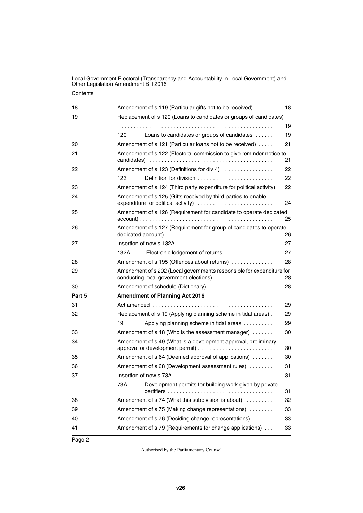| 18     | Amendment of s 119 (Particular gifts not to be received)<br>18                                                        |
|--------|-----------------------------------------------------------------------------------------------------------------------|
| 19     | Replacement of s 120 (Loans to candidates or groups of candidates)                                                    |
|        | 19                                                                                                                    |
|        | 19<br>120<br>Loans to candidates or groups of candidates                                                              |
| 20     | 21<br>Amendment of s 121 (Particular loans not to be received)                                                        |
| 21     | Amendment of s 122 (Electoral commission to give reminder notice to<br>21                                             |
| 22     | Amendment of s 123 (Definitions for div 4)<br>22                                                                      |
|        | 123<br>Definition for division<br>22                                                                                  |
| 23     | Amendment of s 124 (Third party expenditure for political activity)<br>22                                             |
| 24     | Amendment of s 125 (Gifts received by third parties to enable<br>expenditure for political activity)<br>24            |
| 25     | Amendment of s 126 (Requirement for candidate to operate dedicated                                                    |
|        | 25                                                                                                                    |
| 26     | Amendment of s 127 (Requirement for group of candidates to operate<br>26                                              |
| 27     | 27                                                                                                                    |
|        | 27<br>Electronic lodgement of returns<br>132A                                                                         |
| 28     | 28<br>Amendment of s 195 (Offences about returns)                                                                     |
| 29     | Amendment of s 202 (Local governments responsible for expenditure for<br>conducting local government elections)<br>28 |
| 30     | Amendment of schedule (Dictionary)<br>28                                                                              |
| Part 5 | <b>Amendment of Planning Act 2016</b>                                                                                 |
| 31     | 29                                                                                                                    |
| 32     | Replacement of s 19 (Applying planning scheme in tidal areas).<br>29                                                  |
|        | 19<br>Applying planning scheme in tidal areas<br>29                                                                   |
| 33     | Amendment of s 48 (Who is the assessment manager)<br>30                                                               |
| 34     | Amendment of s 49 (What is a development approval, preliminary<br>30                                                  |
| 35     | Amendment of s 64 (Deemed approval of applications)<br>30                                                             |
| 36     | 31<br>Amendment of s 68 (Development assessment rules)                                                                |
| 37     | 31                                                                                                                    |
|        | 73A<br>Development permits for building work given by private<br>31                                                   |
| 38     | Amendment of s 74 (What this subdivision is about)<br>32                                                              |
| 39     | Amendment of s 75 (Making change representations)<br>33                                                               |
| 40     | Amendment of s 76 (Deciding change representations)<br>33                                                             |
| 41     | Amendment of s 79 (Requirements for change applications)<br>33                                                        |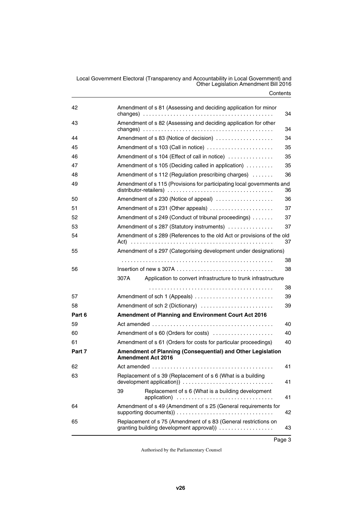| 42     | Amendment of s 81 (Assessing and deciding application for minor                                                          | 34 |
|--------|--------------------------------------------------------------------------------------------------------------------------|----|
| 43     | Amendment of s 82 (Assessing and deciding application for other                                                          | 34 |
| 44     | Amendment of s 83 (Notice of decision)                                                                                   | 34 |
| 45     | Amendment of s 103 (Call in notice)                                                                                      | 35 |
| 46     | Amendment of s 104 (Effect of call in notice)                                                                            | 35 |
| 47     | Amendment of s 105 (Deciding called in application)                                                                      | 35 |
| 48     | Amendment of s 112 (Regulation prescribing charges)                                                                      | 36 |
| 49     | Amendment of s 115 (Provisions for participating local governments and                                                   | 36 |
| 50     | Amendment of s 230 (Notice of appeal)                                                                                    | 36 |
| 51     | Amendment of s 231 (Other appeals)                                                                                       | 37 |
| 52     | Amendment of s 249 (Conduct of tribunal proceedings)                                                                     | 37 |
| 53     | Amendment of s 287 (Statutory instruments)                                                                               | 37 |
| 54     | Amendment of s 289 (References to the old Act or provisions of the old                                                   | 37 |
| 55     | Amendment of s 297 (Categorising development under designations)                                                         |    |
|        |                                                                                                                          | 38 |
| 56     | Insertion of new s 307A $\ldots$ , $\ldots$ , $\ldots$ , $\ldots$ , $\ldots$ , $\ldots$ , $\ldots$ , $\ldots$ , $\ldots$ | 38 |
|        | 307A<br>Application to convert infrastructure to trunk infrastructure                                                    |    |
|        |                                                                                                                          | 38 |
| 57     | Amendment of sch 1 (Appeals)                                                                                             | 39 |
| 58     | Amendment of sch 2 (Dictionary)                                                                                          | 39 |
| Part 6 | Amendment of Planning and Environment Court Act 2016                                                                     |    |
| 59     |                                                                                                                          | 40 |
| 60     | Amendment of s 60 (Orders for costs)                                                                                     | 40 |
| 61     | Amendment of s 61 (Orders for costs for particular proceedings)                                                          | 40 |
| Part 7 | Amendment of Planning (Consequential) and Other Legislation<br><b>Amendment Act 2016</b>                                 |    |
| 62     |                                                                                                                          | 41 |
| 63     | Replacement of s 39 (Replacement of s 6 (What is a building                                                              | 41 |
|        | Replacement of s 6 (What is a building development<br>39                                                                 | 41 |
| 64     | Amendment of s 49 (Amendment of s 25 (General requirements for                                                           | 42 |
| 65     | Replacement of s 75 (Amendment of s 83 (General restrictions on<br>granting building development approval)               | 43 |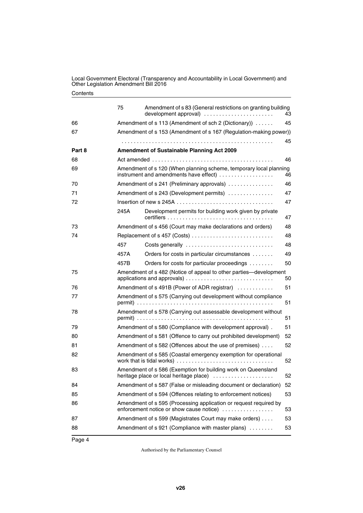|        | 75                                                                | Amendment of s 83 (General restrictions on granting building<br>development approval)                         | 43 |  |  |  |
|--------|-------------------------------------------------------------------|---------------------------------------------------------------------------------------------------------------|----|--|--|--|
| 66     | Amendment of s 113 (Amendment of sch 2 (Dictionary))              |                                                                                                               |    |  |  |  |
| 67     | Amendment of s 153 (Amendment of s 167 (Regulation-making power)) |                                                                                                               |    |  |  |  |
|        |                                                                   |                                                                                                               | 45 |  |  |  |
| Part 8 |                                                                   | <b>Amendment of Sustainable Planning Act 2009</b>                                                             |    |  |  |  |
| 68     |                                                                   |                                                                                                               | 46 |  |  |  |
| 69     |                                                                   | Amendment of s 120 (When planning scheme, temporary local planning<br>instrument and amendments have effect)  | 46 |  |  |  |
| 70     |                                                                   | Amendment of s 241 (Preliminary approvals)                                                                    | 46 |  |  |  |
| 71     |                                                                   | Amendment of s 243 (Development permits)                                                                      | 47 |  |  |  |
| 72     |                                                                   |                                                                                                               | 47 |  |  |  |
|        | 245A                                                              | Development permits for building work given by private                                                        | 47 |  |  |  |
| 73     |                                                                   | Amendment of s 456 (Court may make declarations and orders)                                                   | 48 |  |  |  |
| 74     |                                                                   | Replacement of s 457 (Costs)                                                                                  | 48 |  |  |  |
|        | 457                                                               | Costs generally                                                                                               | 48 |  |  |  |
|        | 457A                                                              | Orders for costs in particular circumstances                                                                  | 49 |  |  |  |
|        | 457B                                                              | Orders for costs for particular proceedings                                                                   | 50 |  |  |  |
| 75     |                                                                   | Amendment of s 482 (Notice of appeal to other parties—development                                             | 50 |  |  |  |
| 76     |                                                                   | Amendment of s 491B (Power of ADR registrar)                                                                  | 51 |  |  |  |
| 77     |                                                                   | Amendment of s 575 (Carrying out development without compliance                                               | 51 |  |  |  |
| 78     |                                                                   | Amendment of s 578 (Carrying out assessable development without                                               | 51 |  |  |  |
| 79     |                                                                   | Amendment of s 580 (Compliance with development approval).                                                    | 51 |  |  |  |
| 80     |                                                                   | Amendment of s 581 (Offence to carry out prohibited development)                                              | 52 |  |  |  |
| 81     |                                                                   | Amendment of s 582 (Offences about the use of premises)                                                       | 52 |  |  |  |
| 82     |                                                                   | Amendment of s 585 (Coastal emergency exemption for operational                                               | 52 |  |  |  |
| 83     |                                                                   | Amendment of s 586 (Exemption for building work on Queensland<br>heritage place or local heritage place)      | 52 |  |  |  |
| 84     |                                                                   | Amendment of s 587 (False or misleading document or declaration)                                              | 52 |  |  |  |
| 85     |                                                                   | Amendment of s 594 (Offences relating to enforcement notices)                                                 | 53 |  |  |  |
| 86     |                                                                   | Amendment of s 595 (Processing application or request required by<br>enforcement notice or show cause notice) | 53 |  |  |  |
| 87     |                                                                   | Amendment of s 599 (Magistrates Court may make orders)                                                        | 53 |  |  |  |
| 88     |                                                                   | Amendment of s 921 (Compliance with master plans)                                                             | 53 |  |  |  |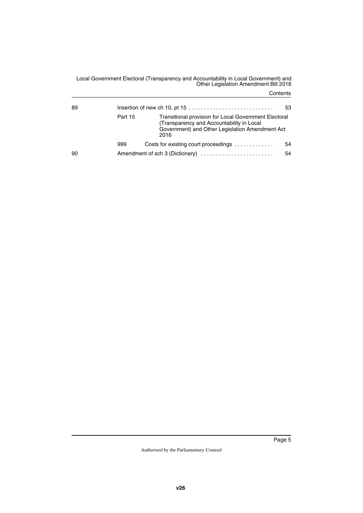| 89 | Insertion of new ch 10, pt 15 $\dots \dots \dots \dots \dots \dots \dots \dots \dots$<br>53 |                                                                                                                                                                      |    |  |  |
|----|---------------------------------------------------------------------------------------------|----------------------------------------------------------------------------------------------------------------------------------------------------------------------|----|--|--|
|    | Part 15                                                                                     | <b>Transitional provision for Local Government Electoral</b><br>(Transparency and Accountability in Local<br>Government) and Other Legislation Amendment Act<br>2016 |    |  |  |
|    | 999                                                                                         | Costs for existing court proceedings                                                                                                                                 | 54 |  |  |
| 90 |                                                                                             | Amendment of sch 3 (Dictionary)                                                                                                                                      | 54 |  |  |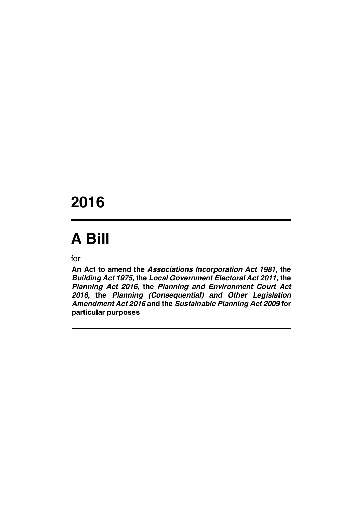## **2016**

# **A Bill**

for

**An Act to amend the** *Associations Incorporation Act 1981***, the** *Building Act 1975***, the** *Local Government Electoral Act 2011***, the** *Planning Act 2016***, the** *Planning and Environment Court Act 2016***, the** *Planning (Consequential) and Other Legislation Amendment Act 2016* **and the** *Sustainable Planning Act 2009* **for particular purposes**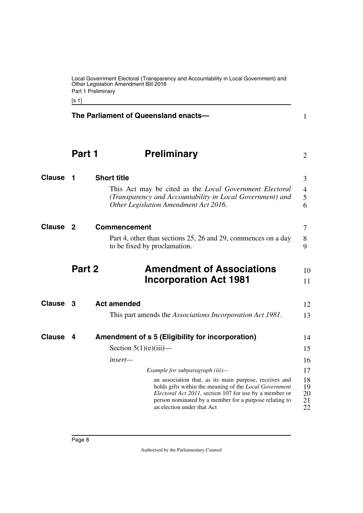<span id="page-9-11"></span><span id="page-9-10"></span><span id="page-9-9"></span><span id="page-9-8"></span><span id="page-9-6"></span><span id="page-9-4"></span><span id="page-9-2"></span>

|               | Other Legislation Amendment Bill 2016<br>Part 1 Preliminary<br>[s 1]                          |                                                                                                                                                                                                                                                                    |                            |  |  |  |  |
|---------------|-----------------------------------------------------------------------------------------------|--------------------------------------------------------------------------------------------------------------------------------------------------------------------------------------------------------------------------------------------------------------------|----------------------------|--|--|--|--|
|               |                                                                                               | The Parliament of Queensland enacts-                                                                                                                                                                                                                               | 1                          |  |  |  |  |
|               | Part 1                                                                                        | <b>Preliminary</b>                                                                                                                                                                                                                                                 | 2                          |  |  |  |  |
| <b>Clause</b> | 1                                                                                             | <b>Short title</b>                                                                                                                                                                                                                                                 | 3                          |  |  |  |  |
|               |                                                                                               | This Act may be cited as the <i>Local Government Electoral</i><br>(Transparency and Accountability in Local Government) and<br>Other Legislation Amendment Act 2016.                                                                                               | 4<br>5<br>6                |  |  |  |  |
| Clause        | $\overline{2}$                                                                                | <b>Commencement</b>                                                                                                                                                                                                                                                | 7                          |  |  |  |  |
|               | Part 4, other than sections 25, 26 and 29, commences on a day<br>to be fixed by proclamation. |                                                                                                                                                                                                                                                                    |                            |  |  |  |  |
|               | Part 2                                                                                        | <b>Amendment of Associations</b><br><b>Incorporation Act 1981</b>                                                                                                                                                                                                  | 10<br>11                   |  |  |  |  |
| <b>Clause</b> | - 3                                                                                           | <b>Act amended</b>                                                                                                                                                                                                                                                 | 12                         |  |  |  |  |
|               |                                                                                               | This part amends the <i>Associations Incorporation Act 1981</i> .                                                                                                                                                                                                  | 13                         |  |  |  |  |
| Clause        | 4                                                                                             | Amendment of s 5 (Eligibility for incorporation)                                                                                                                                                                                                                   | 14                         |  |  |  |  |
|               |                                                                                               | Section $5(1)(e)(iii)$ —                                                                                                                                                                                                                                           | 15                         |  |  |  |  |
|               |                                                                                               | insert—                                                                                                                                                                                                                                                            | 16                         |  |  |  |  |
|               |                                                                                               | Example for subparagraph (iii)-                                                                                                                                                                                                                                    | 17                         |  |  |  |  |
|               |                                                                                               | an association that, as its main purpose, receives and<br>holds gifts within the meaning of the Local Government<br>Electoral Act 2011, section 107 for use by a member or<br>person nominated by a member for a purpose relating to<br>an election under that Act | 18<br>19<br>20<br>21<br>22 |  |  |  |  |
|               |                                                                                               |                                                                                                                                                                                                                                                                    |                            |  |  |  |  |

<span id="page-9-7"></span><span id="page-9-5"></span><span id="page-9-3"></span><span id="page-9-1"></span><span id="page-9-0"></span>Local Government Electoral (Transparency and Accountability in Local Government) and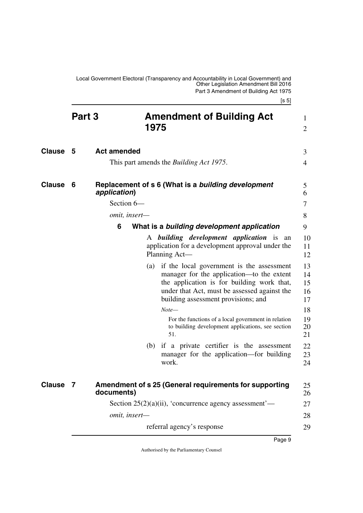<span id="page-10-9"></span><span id="page-10-8"></span><span id="page-10-7"></span><span id="page-10-6"></span><span id="page-10-5"></span><span id="page-10-4"></span><span id="page-10-3"></span><span id="page-10-2"></span><span id="page-10-1"></span><span id="page-10-0"></span>

|               | Part 3 |                    | 1975 | <b>Amendment of Building Act</b>                                                                                                                                                                                                | 1<br>$\overline{2}$        |
|---------------|--------|--------------------|------|---------------------------------------------------------------------------------------------------------------------------------------------------------------------------------------------------------------------------------|----------------------------|
| <b>Clause</b> | 5      | <b>Act amended</b> |      |                                                                                                                                                                                                                                 | 3                          |
| <b>Clause</b> |        |                    |      | This part amends the <i>Building Act 1975</i> .                                                                                                                                                                                 | 4                          |
|               | 6      | application)       |      | Replacement of s 6 (What is a building development                                                                                                                                                                              | 5<br>6                     |
|               |        | Section 6-         |      |                                                                                                                                                                                                                                 | 7                          |
|               |        | omit, insert-      |      |                                                                                                                                                                                                                                 | 8                          |
|               |        | 6                  |      | What is a building development application                                                                                                                                                                                      | 9                          |
|               |        |                    |      | A <i>building development application</i> is an<br>application for a development approval under the<br>Planning Act-                                                                                                            | 10<br>11<br>12             |
|               |        |                    |      | (a) if the local government is the assessment<br>manager for the application—to the extent<br>the application is for building work that,<br>under that Act, must be assessed against the<br>building assessment provisions; and | 13<br>14<br>15<br>16<br>17 |
|               |        |                    |      | $Note-$                                                                                                                                                                                                                         | 18                         |
|               |        |                    |      | For the functions of a local government in relation<br>to building development applications, see section<br>51.                                                                                                                 | 19<br>20<br>21             |
|               |        |                    |      | (b) if a private certifier is the assessment<br>manager for the application—for building<br>work.                                                                                                                               | 22<br>23<br>24             |
| <b>Clause</b> | 7      | documents)         |      | Amendment of s 25 (General requirements for supporting                                                                                                                                                                          | 25<br>26                   |
|               |        |                    |      | Section $25(2)(a)(ii)$ , 'concurrence agency assessment'—                                                                                                                                                                       | 27                         |
|               |        | omit, insert-      |      |                                                                                                                                                                                                                                 | 28                         |
|               |        |                    |      | referral agency's response                                                                                                                                                                                                      | 29                         |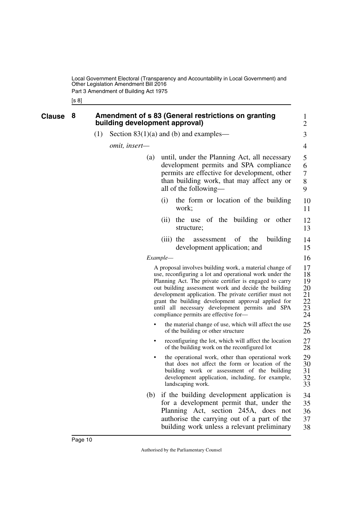<span id="page-11-1"></span><span id="page-11-0"></span>[s 8]

Page 10

| Clause | 8 |     | building development approval) |          | <b>Amendment of s 83 (General restrictions on granting</b>                                                                                                                                                                                                                                                                                                                                                                                          | $\mathbf{1}$<br>2                            |
|--------|---|-----|--------------------------------|----------|-----------------------------------------------------------------------------------------------------------------------------------------------------------------------------------------------------------------------------------------------------------------------------------------------------------------------------------------------------------------------------------------------------------------------------------------------------|----------------------------------------------|
|        |   | (1) |                                |          | Section $83(1)(a)$ and (b) and examples—                                                                                                                                                                                                                                                                                                                                                                                                            | 3                                            |
|        |   |     | <i>omit, insert—</i>           |          |                                                                                                                                                                                                                                                                                                                                                                                                                                                     | 4                                            |
|        |   |     | (a)                            |          | until, under the Planning Act, all necessary<br>development permits and SPA compliance<br>permits are effective for development, other<br>than building work, that may affect any or<br>all of the following—                                                                                                                                                                                                                                       | 5<br>6<br>$\boldsymbol{7}$<br>8<br>9         |
|        |   |     |                                | (i)      | the form or location of the building<br>work;                                                                                                                                                                                                                                                                                                                                                                                                       | 10<br>11                                     |
|        |   |     |                                | (ii)     | the use of the building or other<br>structure;                                                                                                                                                                                                                                                                                                                                                                                                      | 12<br>13                                     |
|        |   |     |                                |          | $(iii)$ the<br>of<br>the<br>building<br>assessment<br>development application; and                                                                                                                                                                                                                                                                                                                                                                  | 14<br>15                                     |
|        |   |     |                                | Example— |                                                                                                                                                                                                                                                                                                                                                                                                                                                     | 16                                           |
|        |   |     |                                |          | A proposal involves building work, a material change of<br>use, reconfiguring a lot and operational work under the<br>Planning Act. The private certifier is engaged to carry<br>out building assessment work and decide the building<br>development application. The private certifier must not<br>grant the building development approval applied for<br>until all necessary development permits and SPA<br>compliance permits are effective for- | 17<br>18<br>19<br>20<br>21<br>22<br>23<br>24 |
|        |   |     | $\bullet$                      |          | the material change of use, which will affect the use<br>of the building or other structure                                                                                                                                                                                                                                                                                                                                                         | 25<br>26                                     |
|        |   |     | ٠                              |          | reconfiguring the lot, which will affect the location<br>of the building work on the reconfigured lot                                                                                                                                                                                                                                                                                                                                               | 27<br>28                                     |
|        |   |     |                                |          | the operational work, other than operational work<br>that does not affect the form or location of the<br>building work or assessment of the building<br>development application, including, for example,<br>landscaping work.                                                                                                                                                                                                                       | 29<br>30<br>31<br>32<br>33                   |
|        |   |     |                                |          | (b) if the building development application is<br>for a development permit that, under the<br>Planning Act, section 245A, does not<br>authorise the carrying out of a part of the<br>building work unless a relevant preliminary                                                                                                                                                                                                                    | 34<br>35<br>36<br>37<br>38                   |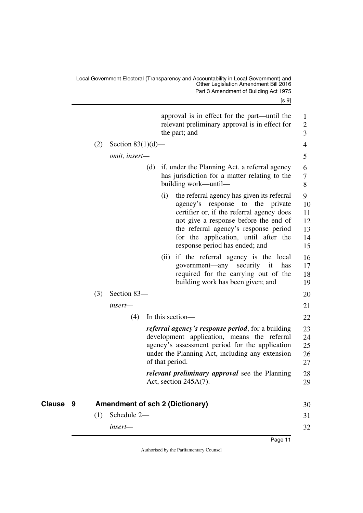[s 9]

<span id="page-12-1"></span><span id="page-12-0"></span>

|          |     |                      | approval is in effect for the part—until the<br>relevant preliminary approval is in effect for<br>the part; and                                                                                                                                                                                      | $\mathbf{1}$<br>$\mathfrak{2}$<br>3   |
|----------|-----|----------------------|------------------------------------------------------------------------------------------------------------------------------------------------------------------------------------------------------------------------------------------------------------------------------------------------------|---------------------------------------|
|          | (2) | Section $83(1)(d)$ — |                                                                                                                                                                                                                                                                                                      | $\overline{4}$                        |
|          |     | omit, insert-        |                                                                                                                                                                                                                                                                                                      | 5                                     |
|          |     |                      | (d)<br>if, under the Planning Act, a referral agency<br>has jurisdiction for a matter relating to the<br>building work—until—                                                                                                                                                                        | 6<br>7<br>8                           |
|          |     |                      | the referral agency has given its referral<br>(i)<br>agency's response to<br>the<br>private<br>certifier or, if the referral agency does<br>not give a response before the end of<br>the referral agency's response period<br>for the application, until after the<br>response period has ended; and | 9<br>10<br>11<br>12<br>13<br>14<br>15 |
|          |     |                      | if the referral agency is the local<br>(i)<br>government-any<br>security<br>it<br>has<br>required for the carrying out of the<br>building work has been given; and                                                                                                                                   | 16<br>17<br>18<br>19                  |
|          | (3) | Section 83-          |                                                                                                                                                                                                                                                                                                      | 20                                    |
|          |     | insert—              |                                                                                                                                                                                                                                                                                                      | 21                                    |
|          |     | (4)                  | In this section-                                                                                                                                                                                                                                                                                     | 22                                    |
|          |     |                      | <i>referral agency's response period</i> , for a building<br>development application, means the referral<br>agency's assessment period for the application<br>under the Planning Act, including any extension<br>of that period.                                                                     | 23<br>24<br>25<br>26<br>27            |
|          |     |                      | relevant preliminary approval see the Planning<br>Act, section $245A(7)$ .                                                                                                                                                                                                                           | 28<br>29                              |
| Clause 9 |     |                      | <b>Amendment of sch 2 (Dictionary)</b>                                                                                                                                                                                                                                                               | 30                                    |
|          | (1) | Schedule 2-          |                                                                                                                                                                                                                                                                                                      | 31                                    |
|          |     | insert-              |                                                                                                                                                                                                                                                                                                      | 32                                    |
|          |     |                      | Page 11                                                                                                                                                                                                                                                                                              |                                       |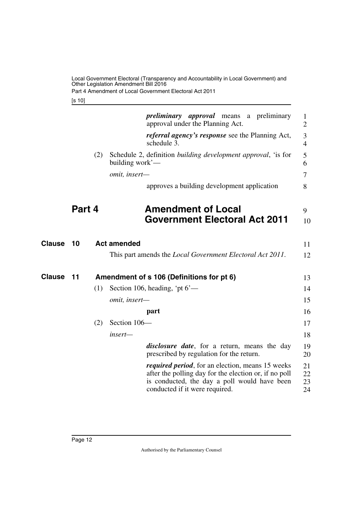Part 4 Amendment of Local Government Electoral Act 2011

<span id="page-13-1"></span>[s 10]

<span id="page-13-5"></span><span id="page-13-4"></span><span id="page-13-3"></span><span id="page-13-2"></span><span id="page-13-0"></span>

|               |        |     |                    | <i>preliminary approval</i> means a preliminary<br>approval under the Planning Act.                                                                                                                 | 1<br>$\overline{2}$  |
|---------------|--------|-----|--------------------|-----------------------------------------------------------------------------------------------------------------------------------------------------------------------------------------------------|----------------------|
|               |        |     |                    | <i>referral agency's response</i> see the Planning Act,<br>schedule 3.                                                                                                                              | 3<br>$\overline{4}$  |
|               |        | (2) | building work'-    | Schedule 2, definition <i>building development approval</i> , 'is for                                                                                                                               | 5<br>6               |
|               |        |     | omit, insert-      |                                                                                                                                                                                                     | 7                    |
|               |        |     |                    | approves a building development application                                                                                                                                                         | 8                    |
|               | Part 4 |     |                    | <b>Amendment of Local</b>                                                                                                                                                                           | 9                    |
|               |        |     |                    | <b>Government Electoral Act 2011</b>                                                                                                                                                                | 10                   |
| <b>Clause</b> | 10     |     | <b>Act amended</b> |                                                                                                                                                                                                     | 11                   |
|               |        |     |                    | This part amends the Local Government Electoral Act 2011.                                                                                                                                           | 12                   |
| <b>Clause</b> | 11     |     |                    | Amendment of s 106 (Definitions for pt 6)                                                                                                                                                           | 13                   |
|               |        | (1) |                    | Section 106, heading, 'pt $6'$ —                                                                                                                                                                    | 14                   |
|               |        |     | omit, insert-      |                                                                                                                                                                                                     | 15                   |
|               |        |     |                    | part                                                                                                                                                                                                | 16                   |
|               |        | (2) | Section 106-       |                                                                                                                                                                                                     | 17                   |
|               |        |     | insert—            |                                                                                                                                                                                                     | 18                   |
|               |        |     |                    | <i>disclosure date</i> , for a return, means the day<br>prescribed by regulation for the return.                                                                                                    | 19<br>20             |
|               |        |     |                    | <i>required period</i> , for an election, means 15 weeks<br>after the polling day for the election or, if no poll<br>is conducted, the day a poll would have been<br>conducted if it were required. | 21<br>22<br>23<br>24 |
|               |        |     |                    |                                                                                                                                                                                                     |                      |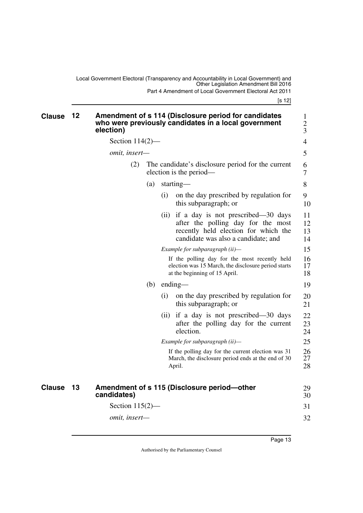<span id="page-14-1"></span><span id="page-14-0"></span>Local Government Electoral (Transparency and Accountability in Local Government) and Other Legislation Amendment Bill 2016 Part 4 Amendment of Local Government Electoral Act 2011

[s 12]

<span id="page-14-3"></span><span id="page-14-2"></span>

| <b>Clause</b> | 12 | election)          |                   | Amendment of s 114 (Disclosure period for candidates<br>who were previously candidates in a local government                                                 | $\mathbf{1}$<br>$\mathbf{2}$<br>3 |  |  |  |
|---------------|----|--------------------|-------------------|--------------------------------------------------------------------------------------------------------------------------------------------------------------|-----------------------------------|--|--|--|
|               |    | Section $114(2)$ — |                   |                                                                                                                                                              | $\overline{4}$                    |  |  |  |
|               |    | omit, insert-      |                   |                                                                                                                                                              |                                   |  |  |  |
|               |    | (2)                |                   | The candidate's disclosure period for the current<br>election is the period—                                                                                 | 6<br>$\tau$                       |  |  |  |
|               |    |                    | (a)               | starting—                                                                                                                                                    | 8                                 |  |  |  |
|               |    |                    | (i)               | on the day prescribed by regulation for<br>this subparagraph; or                                                                                             | 9<br>10                           |  |  |  |
|               |    |                    |                   | (ii) if a day is not prescribed—30 days<br>after the polling day for the most<br>recently held election for which the<br>candidate was also a candidate; and | 11<br>12<br>13<br>14              |  |  |  |
|               |    |                    |                   | Example for subparagraph (ii)-                                                                                                                               | 15                                |  |  |  |
|               |    |                    |                   | If the polling day for the most recently held<br>election was 15 March, the disclosure period starts<br>at the beginning of 15 April.                        | 16<br>17<br>18                    |  |  |  |
|               |    |                    | (b)               | $ending$ —                                                                                                                                                   |                                   |  |  |  |
|               |    |                    | $\left( 1\right)$ | on the day prescribed by regulation for<br>this subparagraph; or                                                                                             | 20<br>21                          |  |  |  |
|               |    |                    | (i)               | if a day is not prescribed—30 days<br>after the polling day for the current<br>election.                                                                     | 22<br>23<br>24                    |  |  |  |
|               |    |                    |                   | Example for subparagraph (ii)-                                                                                                                               | 25                                |  |  |  |
|               |    |                    |                   | If the polling day for the current election was 31<br>March, the disclosure period ends at the end of 30<br>April.                                           | 26<br>27<br>28                    |  |  |  |
| <b>Clause</b> | 13 | candidates)        |                   | Amendment of s 115 (Disclosure period-other                                                                                                                  | 29<br>30                          |  |  |  |
|               |    | Section $115(2)$ — |                   |                                                                                                                                                              | 31                                |  |  |  |
|               |    | omit, insert-      |                   |                                                                                                                                                              | 32                                |  |  |  |
|               |    |                    |                   |                                                                                                                                                              |                                   |  |  |  |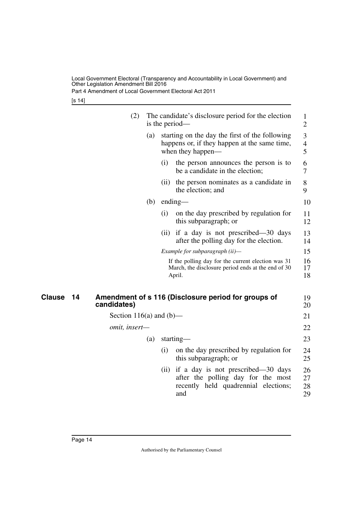Part 4 Amendment of Local Government Electoral Act 2011

[s 14]

<span id="page-15-1"></span><span id="page-15-0"></span>

|                     | (2)                     | is the period- | The candidate's disclosure period for the election                                                                      | 1<br>$\overline{2}$      |
|---------------------|-------------------------|----------------|-------------------------------------------------------------------------------------------------------------------------|--------------------------|
|                     |                         | (a)            | starting on the day the first of the following<br>happens or, if they happen at the same time,<br>when they happen—     | 3<br>$\overline{4}$<br>5 |
|                     |                         | (i)            | the person announces the person is to<br>be a candidate in the election;                                                | 6<br>7                   |
|                     |                         | (i)            | the person nominates as a candidate in<br>the election; and                                                             | 8<br>9                   |
|                     |                         | (b)            | $ending$ —                                                                                                              | 10                       |
|                     |                         | (i)            | on the day prescribed by regulation for<br>this subparagraph; or                                                        | 11<br>12                 |
|                     |                         |                | (ii) if a day is not prescribed—30 days<br>after the polling day for the election.                                      | 13<br>14                 |
|                     |                         |                | Example for subparagraph (ii)-                                                                                          | 15                       |
|                     |                         |                | If the polling day for the current election was 31<br>March, the disclosure period ends at the end of 30<br>April.      | 16<br>17<br>18           |
| <b>Clause</b><br>14 | candidates)             |                | Amendment of s 116 (Disclosure period for groups of                                                                     | 19<br>20                 |
|                     | Section 116(a) and (b)— |                |                                                                                                                         | 21                       |
|                     | omit, insert-           |                |                                                                                                                         | 22                       |
|                     |                         | (a)            | starting—                                                                                                               | 23                       |
|                     |                         | (i)            | on the day prescribed by regulation for<br>this subparagraph; or                                                        | 24<br>25                 |
|                     |                         | (ii)           | if a day is not prescribed—30 days<br>after the polling day for the most<br>recently held quadrennial elections;<br>and | 26<br>27<br>28<br>29     |
|                     |                         |                |                                                                                                                         |                          |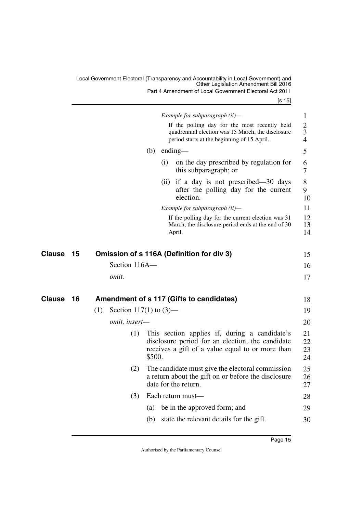Part 4 Amendment of Local Government Electoral Act 2011

[s 15]

<span id="page-16-3"></span><span id="page-16-2"></span><span id="page-16-1"></span><span id="page-16-0"></span>

|               |    |     |                           |        |      | Example for subparagraph (ii)-<br>If the polling day for the most recently held<br>quadrennial election was 15 March, the disclosure<br>period starts at the beginning of 15 April. | $\mathbf{1}$<br>$\overline{2}$<br>3<br>$\overline{4}$ |
|---------------|----|-----|---------------------------|--------|------|-------------------------------------------------------------------------------------------------------------------------------------------------------------------------------------|-------------------------------------------------------|
|               |    |     |                           | (b)    |      | ending-                                                                                                                                                                             | 5                                                     |
|               |    |     |                           |        | (i)  | on the day prescribed by regulation for<br>this subparagraph; or                                                                                                                    | 6<br>7                                                |
|               |    |     |                           |        | (ii) | if a day is not prescribed—30 days<br>after the polling day for the current<br>election.                                                                                            | 8<br>9<br>10                                          |
|               |    |     |                           |        |      | Example for subparagraph (ii)-                                                                                                                                                      | 11                                                    |
|               |    |     |                           |        |      | If the polling day for the current election was 31<br>March, the disclosure period ends at the end of 30<br>April.                                                                  | 12<br>13<br>14                                        |
| Clause        | 15 |     |                           |        |      | Omission of s 116A (Definition for div 3)                                                                                                                                           | 15                                                    |
|               |    |     | Section 116A-             |        |      |                                                                                                                                                                                     | 16                                                    |
|               |    |     | omit.                     |        |      |                                                                                                                                                                                     | 17                                                    |
|               |    |     |                           |        |      |                                                                                                                                                                                     |                                                       |
| <b>Clause</b> | 16 |     |                           |        |      | Amendment of s 117 (Gifts to candidates)                                                                                                                                            | 18                                                    |
|               |    | (1) | Section 117(1) to $(3)$ — |        |      |                                                                                                                                                                                     | 19                                                    |
|               |    |     | omit, insert-             |        |      |                                                                                                                                                                                     | 20                                                    |
|               |    |     | (1)                       | \$500. |      | This section applies if, during a candidate's<br>disclosure period for an election, the candidate<br>receives a gift of a value equal to or more than                               | 21<br>22<br>23<br>24                                  |
|               |    |     | (2)                       |        |      | The candidate must give the electoral commission<br>a return about the gift on or before the disclosure<br>date for the return.                                                     | 25<br>26<br>27                                        |
|               |    |     | (3)                       |        |      | Each return must-                                                                                                                                                                   | 28                                                    |
|               |    |     |                           | (a)    |      | be in the approved form; and                                                                                                                                                        | 29                                                    |
|               |    |     |                           | (b)    |      | state the relevant details for the gift.                                                                                                                                            | 30                                                    |
|               |    |     |                           |        |      |                                                                                                                                                                                     |                                                       |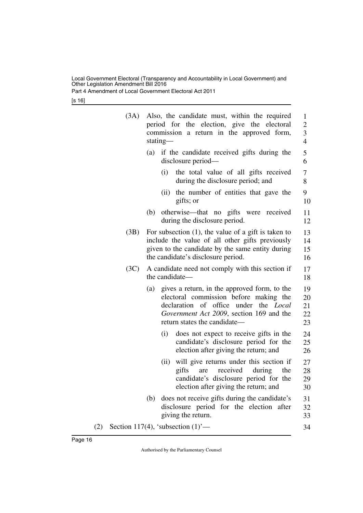Part 4 Amendment of Local Government Electoral Act 2011

[s 16]

|     | (3A) |                                                                                                                                                                                                                              | Also, the candidate must, within the required<br>period for the election, give the electoral<br>commission a return in the approved form,<br>stating—                                               |                      |  |  |  |  |  |
|-----|------|------------------------------------------------------------------------------------------------------------------------------------------------------------------------------------------------------------------------------|-----------------------------------------------------------------------------------------------------------------------------------------------------------------------------------------------------|----------------------|--|--|--|--|--|
|     |      | (a)                                                                                                                                                                                                                          | if the candidate received gifts during the<br>disclosure period—                                                                                                                                    | 5<br>6               |  |  |  |  |  |
|     |      |                                                                                                                                                                                                                              | the total value of all gifts received<br>(i)<br>during the disclosure period; and                                                                                                                   | 7<br>8               |  |  |  |  |  |
|     |      |                                                                                                                                                                                                                              | the number of entities that gave the<br>(ii)<br>gifts; or                                                                                                                                           | 9<br>10              |  |  |  |  |  |
|     |      | (b)                                                                                                                                                                                                                          | otherwise—that no gifts were received<br>during the disclosure period.                                                                                                                              | 11<br>12             |  |  |  |  |  |
|     | (3B) |                                                                                                                                                                                                                              | For subsection $(1)$ , the value of a gift is taken to<br>include the value of all other gifts previously<br>given to the candidate by the same entity during<br>the candidate's disclosure period. |                      |  |  |  |  |  |
|     | (3C) | A candidate need not comply with this section if<br>the candidate—                                                                                                                                                           |                                                                                                                                                                                                     |                      |  |  |  |  |  |
|     |      | gives a return, in the approved form, to the<br>(a)<br>electoral commission before making the<br>declaration of office<br>under the <i>Local</i><br>Government Act 2009, section 169 and the<br>return states the candidate— |                                                                                                                                                                                                     |                      |  |  |  |  |  |
|     |      |                                                                                                                                                                                                                              | does not expect to receive gifts in the<br>(i)<br>candidate's disclosure period for the<br>election after giving the return; and                                                                    | 24<br>25<br>26       |  |  |  |  |  |
|     |      |                                                                                                                                                                                                                              | will give returns under this section if<br>(ii)<br>received<br>gifts<br>during<br>the<br>are<br>candidate's disclosure period for the<br>election after giving the return; and                      | 27<br>28<br>29<br>30 |  |  |  |  |  |
|     |      | (b)                                                                                                                                                                                                                          | does not receive gifts during the candidate's<br>disclosure period for the election after<br>giving the return.                                                                                     | 31<br>32<br>33       |  |  |  |  |  |
| (2) |      |                                                                                                                                                                                                                              | Section 117(4), 'subsection $(1)$ '—                                                                                                                                                                | 34                   |  |  |  |  |  |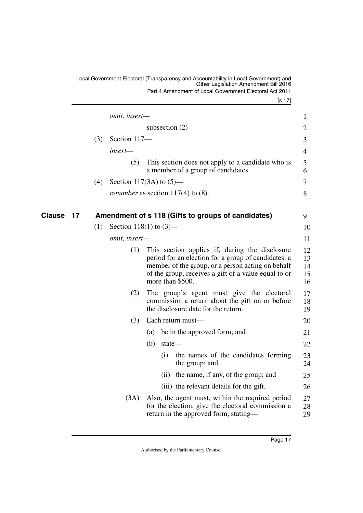<span id="page-18-1"></span><span id="page-18-0"></span>[s 17] Local Government Electoral (Transparency and Accountability in Local Government) and Other Legislation Amendment Bill 2016 Part 4 Amendment of Local Government Electoral Act 2011 *omit, insert* subsection (2) (3) Section 117 *insert—* (5) This section does not apply to a candidate who is a member of a group of candidates. (4) Section 117(3A) to (5) *renumber* as section 117(4) to (8). **Clause 17** Amendment of s 118 (Gifts to groups of candidates) 3 (1) Section 118(1) to  $(3)$  *omit, insert—* (1) This section applies if, during the disclosure period for an election for a group of candidates, a member of the group, or a person acting on behalf of the group, receives a gift of a value equal to or more than \$500. (2) The group's agent must give the electoral commission a return about the gift on or before the disclosure date for the return. (3) Each return must— (a) be in the approved form; and (b) state— (i) the names of the candidates forming the group; and (ii) the name, if any, of the group; and (iii) the relevant details for the gift. (3A) Also, the agent must, within the required period for the election, give the electoral commission a return in the approved form, stating— 1 2 3 4 5 6 7 8 10 11 12 13 14 15 16 17 18 19 20 21 22 23 24 25 26 27 28 29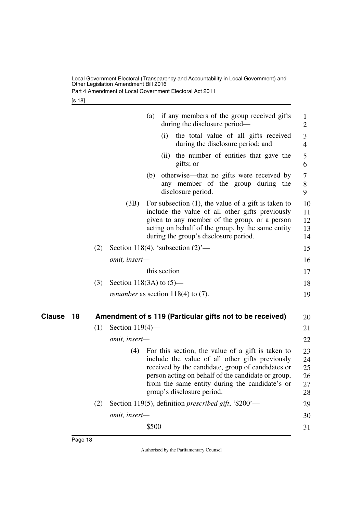Part 4 Amendment of Local Government Electoral Act 2011

[s 18]

<span id="page-19-1"></span><span id="page-19-0"></span>

|              |     |                            | (a)   |              | if any members of the group received gifts<br>during the disclosure period—                                                                                                                                                                                                                     | $\mathbf{1}$<br>$\mathfrak{2}$   |
|--------------|-----|----------------------------|-------|--------------|-------------------------------------------------------------------------------------------------------------------------------------------------------------------------------------------------------------------------------------------------------------------------------------------------|----------------------------------|
|              |     |                            |       | (i)          | the total value of all gifts received<br>during the disclosure period; and                                                                                                                                                                                                                      | $\mathfrak{Z}$<br>$\overline{4}$ |
|              |     |                            |       |              | (ii) the number of entities that gave the<br>gifts; or                                                                                                                                                                                                                                          | 5<br>6                           |
|              |     |                            | (b)   |              | otherwise—that no gifts were received by<br>any member of the group during the<br>disclosure period.                                                                                                                                                                                            | $\tau$<br>$8\,$<br>9             |
|              |     | (3B)                       |       |              | For subsection $(1)$ , the value of a gift is taken to<br>include the value of all other gifts previously<br>given to any member of the group, or a person<br>acting on behalf of the group, by the same entity<br>during the group's disclosure period.                                        | 10<br>11<br>12<br>13<br>14       |
|              | (2) |                            |       |              | Section 118(4), 'subsection $(2)$ '—                                                                                                                                                                                                                                                            | 15                               |
|              |     | omit, insert-              |       |              |                                                                                                                                                                                                                                                                                                 | 16                               |
|              |     |                            |       | this section |                                                                                                                                                                                                                                                                                                 | 17                               |
|              | (3) | Section 118(3A) to $(5)$ — |       |              |                                                                                                                                                                                                                                                                                                 | 18                               |
|              |     |                            |       |              | <i>renumber</i> as section $118(4)$ to (7).                                                                                                                                                                                                                                                     | 19                               |
| Clause<br>18 |     |                            |       |              | Amendment of s 119 (Particular gifts not to be received)                                                                                                                                                                                                                                        | 20                               |
|              | (1) | Section $119(4)$ —         |       |              |                                                                                                                                                                                                                                                                                                 | 21                               |
|              |     | omit, insert-              |       |              |                                                                                                                                                                                                                                                                                                 | 22                               |
|              |     | (4)                        |       |              | For this section, the value of a gift is taken to<br>include the value of all other gifts previously<br>received by the candidate, group of candidates or<br>person acting on behalf of the candidate or group,<br>from the same entity during the candidate's or<br>group's disclosure period. | 23<br>24<br>25<br>26<br>27<br>28 |
|              | (2) |                            |       |              | Section 119(5), definition <i>prescribed gift</i> , '\$200'—                                                                                                                                                                                                                                    | 29                               |
|              |     | omit, insert-              |       |              |                                                                                                                                                                                                                                                                                                 | 30                               |
|              |     |                            | \$500 |              |                                                                                                                                                                                                                                                                                                 | 31                               |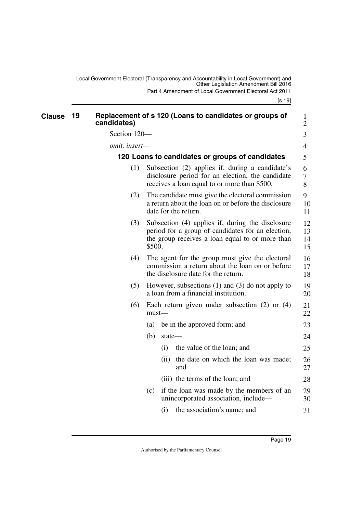<span id="page-20-3"></span><span id="page-20-2"></span><span id="page-20-1"></span><span id="page-20-0"></span>

| <b>Clause</b> | 19  | candidates)                                     |          |                                                                                                                                           | Replacement of s 120 (Loans to candidates or groups of                                                                                                   | 1<br>$\overline{2}$  |  |  |  |  |  |
|---------------|-----|-------------------------------------------------|----------|-------------------------------------------------------------------------------------------------------------------------------------------|----------------------------------------------------------------------------------------------------------------------------------------------------------|----------------------|--|--|--|--|--|
|               |     | Section 120-                                    |          |                                                                                                                                           |                                                                                                                                                          | 3                    |  |  |  |  |  |
|               |     | omit, insert-                                   |          |                                                                                                                                           |                                                                                                                                                          | 4                    |  |  |  |  |  |
|               |     | 120 Loans to candidates or groups of candidates |          |                                                                                                                                           |                                                                                                                                                          |                      |  |  |  |  |  |
|               |     | (1)                                             |          |                                                                                                                                           | Subsection (2) applies if, during a candidate's<br>disclosure period for an election, the candidate<br>receives a loan equal to or more than \$500.      | 6<br>7<br>8          |  |  |  |  |  |
|               |     | (2)                                             |          |                                                                                                                                           | The candidate must give the electoral commission<br>a return about the loan on or before the disclosure<br>date for the return.                          | 9<br>10<br>11        |  |  |  |  |  |
|               |     | (3)                                             | \$500.   |                                                                                                                                           | Subsection (4) applies if, during the disclosure<br>period for a group of candidates for an election,<br>the group receives a loan equal to or more than | 12<br>13<br>14<br>15 |  |  |  |  |  |
|               | (4) |                                                 |          | The agent for the group must give the electoral<br>commission a return about the loan on or before<br>the disclosure date for the return. | 16<br>17<br>18                                                                                                                                           |                      |  |  |  |  |  |
|               |     | (5)                                             |          |                                                                                                                                           | However, subsections $(1)$ and $(3)$ do not apply to<br>a loan from a financial institution.                                                             | 19<br>20             |  |  |  |  |  |
|               |     | (6)                                             | $must$ — |                                                                                                                                           | Each return given under subsection $(2)$ or $(4)$                                                                                                        | 21<br>22             |  |  |  |  |  |
|               |     |                                                 | (a)      |                                                                                                                                           | be in the approved form; and                                                                                                                             | 23                   |  |  |  |  |  |
|               |     |                                                 | (b)      | state-                                                                                                                                    |                                                                                                                                                          | 24                   |  |  |  |  |  |
|               |     |                                                 |          | (i)                                                                                                                                       | the value of the loan; and                                                                                                                               | 25                   |  |  |  |  |  |
|               |     |                                                 |          | (ii)                                                                                                                                      | the date on which the loan was made;<br>and                                                                                                              | 26<br>27             |  |  |  |  |  |
|               |     |                                                 |          |                                                                                                                                           | (iii) the terms of the loan; and                                                                                                                         | 28                   |  |  |  |  |  |
|               |     |                                                 | (c)      |                                                                                                                                           | if the loan was made by the members of an<br>unincorporated association, include-                                                                        | 29<br>30             |  |  |  |  |  |
|               |     |                                                 |          | (i)                                                                                                                                       | the association's name; and                                                                                                                              | 31                   |  |  |  |  |  |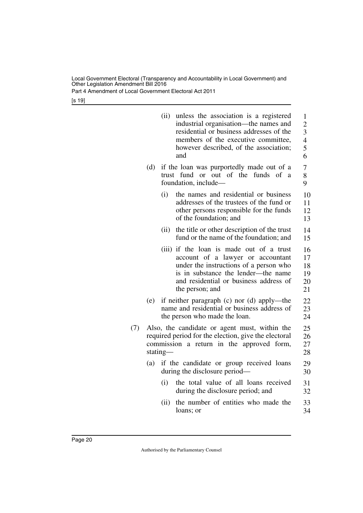Part 4 Amendment of Local Government Electoral Act 2011

[s 19]

|     |                                                                                                                                                                | (ii) | unless the association is a registered<br>industrial organisation—the names and<br>residential or business addresses of the<br>members of the executive committee,<br>however described, of the association;<br>and         | $\mathbf{1}$<br>$\overline{2}$<br>3<br>$\overline{4}$<br>5<br>6 |  |  |  |  |
|-----|----------------------------------------------------------------------------------------------------------------------------------------------------------------|------|-----------------------------------------------------------------------------------------------------------------------------------------------------------------------------------------------------------------------------|-----------------------------------------------------------------|--|--|--|--|
|     | (d)                                                                                                                                                            |      | if the loan was purportedly made out of a<br>of the<br>trust fund or out<br>funds of a<br>foundation, include-                                                                                                              | 7<br>8<br>9                                                     |  |  |  |  |
|     |                                                                                                                                                                | (i)  | the names and residential or business<br>addresses of the trustees of the fund or<br>other persons responsible for the funds<br>of the foundation; and                                                                      | 10<br>11<br>12<br>13                                            |  |  |  |  |
|     |                                                                                                                                                                | (ii) | the title or other description of the trust<br>fund or the name of the foundation; and                                                                                                                                      | 14<br>15                                                        |  |  |  |  |
|     |                                                                                                                                                                |      | (iii) if the loan is made out of a trust<br>account of a lawyer or accountant<br>under the instructions of a person who<br>is in substance the lender—the name<br>and residential or business address of<br>the person; and | 16<br>17<br>18<br>19<br>20<br>21                                |  |  |  |  |
|     | (e)                                                                                                                                                            |      | if neither paragraph (c) nor (d) apply—the<br>name and residential or business address of<br>the person who made the loan.                                                                                                  | 22<br>23<br>24                                                  |  |  |  |  |
| (7) | Also, the candidate or agent must, within the<br>required period for the election, give the electoral<br>commission a return in the approved form,<br>stating- |      |                                                                                                                                                                                                                             |                                                                 |  |  |  |  |
|     | (a)                                                                                                                                                            |      | if the candidate or group received loans<br>during the disclosure period—                                                                                                                                                   | 29<br>30                                                        |  |  |  |  |
|     |                                                                                                                                                                | (i)  | the total value of all loans received<br>during the disclosure period; and                                                                                                                                                  | 31<br>32                                                        |  |  |  |  |
|     |                                                                                                                                                                | (ii) | the number of entities who made the<br>loans; or                                                                                                                                                                            | 33<br>34                                                        |  |  |  |  |
|     |                                                                                                                                                                |      |                                                                                                                                                                                                                             |                                                                 |  |  |  |  |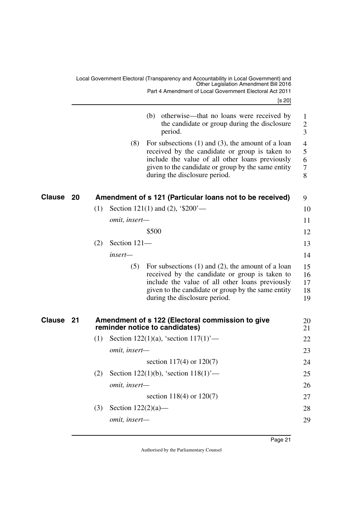[s 20]

<span id="page-22-3"></span><span id="page-22-2"></span><span id="page-22-1"></span><span id="page-22-0"></span>

|                     | otherwise—that no loans were received by<br>(b)<br>the candidate or group during the disclosure<br>period.                                                                                                                                                |
|---------------------|-----------------------------------------------------------------------------------------------------------------------------------------------------------------------------------------------------------------------------------------------------------|
|                     | (8)<br>For subsections $(1)$ and $(3)$ , the amount of a loan<br>received by the candidate or group is taken to<br>include the value of all other loans previously<br>given to the candidate or group by the same entity<br>during the disclosure period. |
| Clause<br>20        | Amendment of s 121 (Particular loans not to be received)                                                                                                                                                                                                  |
|                     | Section 121(1) and (2), $\frac{1}{200}$ —<br>(1)                                                                                                                                                                                                          |
|                     | <i>omit, insert—</i>                                                                                                                                                                                                                                      |
|                     | \$500                                                                                                                                                                                                                                                     |
|                     | Section 121-<br>(2)                                                                                                                                                                                                                                       |
|                     | insert—                                                                                                                                                                                                                                                   |
|                     | For subsections $(1)$ and $(2)$ , the amount of a loan<br>(5)<br>received by the candidate or group is taken to<br>include the value of all other loans previously<br>given to the candidate or group by the same entity<br>during the disclosure period. |
| <b>Clause</b><br>21 | Amendment of s 122 (Electoral commission to give<br>reminder notice to candidates)                                                                                                                                                                        |
|                     | Section 122(1)(a), 'section $117(1)$ '—<br>(1)                                                                                                                                                                                                            |
|                     | omit, insert-                                                                                                                                                                                                                                             |
|                     | section $117(4)$ or $120(7)$                                                                                                                                                                                                                              |
|                     | Section 122(1)(b), 'section $118(1)$ '—<br>(2)                                                                                                                                                                                                            |
|                     | omit, insert-                                                                                                                                                                                                                                             |
|                     | section 118(4) or $120(7)$                                                                                                                                                                                                                                |
|                     | Section $122(2)(a)$ —<br>(3)                                                                                                                                                                                                                              |
|                     | omit, insert-                                                                                                                                                                                                                                             |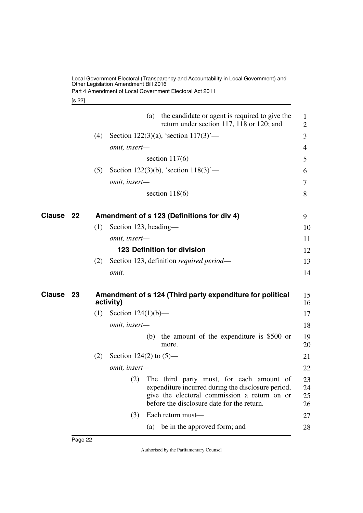Part 4 Amendment of Local Government Electoral Act 2011

#### <span id="page-23-3"></span><span id="page-23-2"></span><span id="page-23-1"></span>[s 22]

<span id="page-23-5"></span><span id="page-23-4"></span><span id="page-23-0"></span>

|              | the candidate or agent is required to give the<br>(a)<br>return under section 117, 118 or 120; and                                                                                               | $\mathbf{1}$<br>$\overline{2}$ |
|--------------|--------------------------------------------------------------------------------------------------------------------------------------------------------------------------------------------------|--------------------------------|
|              | Section 122(3)(a), 'section $117(3)$ '—<br>(4)                                                                                                                                                   | 3                              |
|              | omit, insert-                                                                                                                                                                                    | 4                              |
|              | section $117(6)$                                                                                                                                                                                 | 5                              |
|              | (5)<br>Section 122(3)(b), 'section $118(3)$ '—                                                                                                                                                   | 6                              |
|              | omit, insert-                                                                                                                                                                                    | 7                              |
|              | section $118(6)$                                                                                                                                                                                 | 8                              |
| Clause<br>22 | Amendment of s 123 (Definitions for div 4)                                                                                                                                                       | 9                              |
|              | Section 123, heading—<br>(1)                                                                                                                                                                     | 10                             |
|              | omit, insert-                                                                                                                                                                                    | 11                             |
|              | 123 Definition for division                                                                                                                                                                      | 12                             |
|              | Section 123, definition required period—<br>(2)                                                                                                                                                  | 13                             |
|              | omit.                                                                                                                                                                                            | 14                             |
| Clause<br>23 | Amendment of s 124 (Third party expenditure for political<br>activity)                                                                                                                           | 15<br>16                       |
|              | Section $124(1)(b)$ —<br>(1)                                                                                                                                                                     | 17                             |
|              | omit, insert-                                                                                                                                                                                    | 18                             |
|              | the amount of the expenditure is \$500 or<br>(b)<br>more.                                                                                                                                        | 19<br>20                       |
|              | (2)<br>Section 124(2) to $(5)$ —                                                                                                                                                                 | 21                             |
|              | omit, insert-                                                                                                                                                                                    | 22                             |
|              | (2) The third party must, for each amount of<br>expenditure incurred during the disclosure period,<br>give the electoral commission a return on or<br>before the disclosure date for the return. | 23<br>24<br>25<br>26           |
|              | (3)<br>Each return must-                                                                                                                                                                         | 27                             |
|              | be in the approved form; and<br>(a)                                                                                                                                                              | 28                             |
|              |                                                                                                                                                                                                  |                                |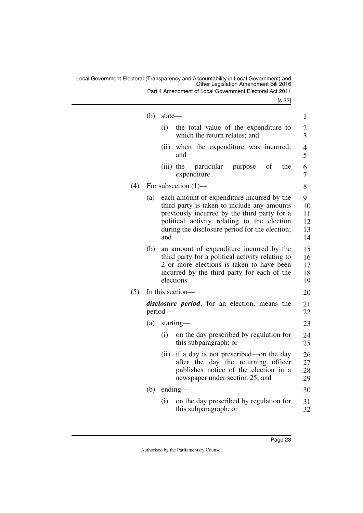Part 4 Amendment of Local Government Electoral Act 2011

[s 23]

|     | (b) | state-                                                                                                                                                                                                                                            | 1                               |
|-----|-----|---------------------------------------------------------------------------------------------------------------------------------------------------------------------------------------------------------------------------------------------------|---------------------------------|
|     |     | (i)<br>the total value of the expenditure to<br>which the return relates; and                                                                                                                                                                     | $\overline{c}$<br>3             |
|     |     | when the expenditure was incurred;<br>(ii)<br>and                                                                                                                                                                                                 | $\overline{4}$<br>5             |
|     |     | $(iii)$ the<br>particular<br>of<br>the<br>purpose<br>expenditure.                                                                                                                                                                                 | 6<br>7                          |
| (4) |     | For subsection $(1)$ —                                                                                                                                                                                                                            | 8                               |
|     | (a) | each amount of expenditure incurred by the<br>third party is taken to include any amounts<br>previously incurred by the third party for a<br>political activity relating to the election<br>during the disclosure period for the election;<br>and | 9<br>10<br>11<br>12<br>13<br>14 |
|     | (b) | an amount of expenditure incurred by the<br>third party for a political activity relating to<br>2 or more elections is taken to have been<br>incurred by the third party for each of the<br>elections.                                            | 15<br>16<br>17<br>18<br>19      |
| (5) |     | In this section-                                                                                                                                                                                                                                  | 20                              |
|     |     | <i>disclosure period</i> , for an election, means the<br>period-                                                                                                                                                                                  | 21<br>22                        |
|     | (a) | starting—                                                                                                                                                                                                                                         | 23                              |
|     |     | on the day prescribed by regulation for<br>(i)<br>this subparagraph; or                                                                                                                                                                           | 24<br>25                        |
|     |     | if a day is not prescribed—on the day<br>(ii)<br>after the day the returning officer<br>publishes notice of the election in a<br>newspaper under section 25; and                                                                                  | 26<br>27<br>28<br>29            |
|     | (b) | $ending$ —                                                                                                                                                                                                                                        | 30                              |
|     |     | on the day prescribed by regulation for<br>(i)<br>this subparagraph; or                                                                                                                                                                           | 31<br>32                        |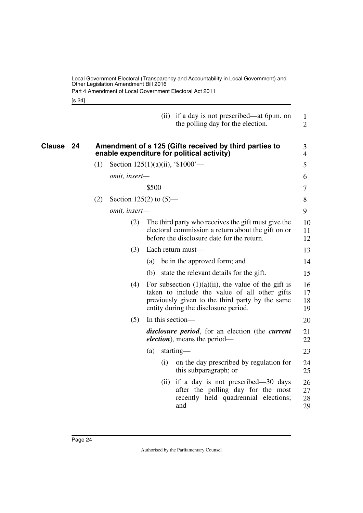<span id="page-25-1"></span><span id="page-25-0"></span>[s 24]

|           |     |                                     |       |                                                                                                      | (ii) if a day is not prescribed—at 6p.m. on<br>the polling day for the election.                                                                                                                   | $\mathbf{1}$<br>$\overline{2}$ |  |  |  |
|-----------|-----|-------------------------------------|-------|------------------------------------------------------------------------------------------------------|----------------------------------------------------------------------------------------------------------------------------------------------------------------------------------------------------|--------------------------------|--|--|--|
| Clause 24 |     |                                     |       | Amendment of s 125 (Gifts received by third parties to<br>enable expenditure for political activity) |                                                                                                                                                                                                    |                                |  |  |  |
|           | (1) | Section $125(1)(a)(ii)$ , '\$1000'— |       |                                                                                                      |                                                                                                                                                                                                    | 5                              |  |  |  |
|           |     | omit, insert-                       |       |                                                                                                      |                                                                                                                                                                                                    | 6                              |  |  |  |
|           |     |                                     | \$500 |                                                                                                      |                                                                                                                                                                                                    | 7                              |  |  |  |
|           | (2) | Section 125(2) to $(5)$ —           |       |                                                                                                      |                                                                                                                                                                                                    | 8                              |  |  |  |
|           |     | omit, insert-                       |       |                                                                                                      |                                                                                                                                                                                                    | 9                              |  |  |  |
|           |     | (2)                                 |       |                                                                                                      | The third party who receives the gift must give the<br>electoral commission a return about the gift on or<br>before the disclosure date for the return.                                            | 10<br>11<br>12                 |  |  |  |
|           |     | (3)                                 |       |                                                                                                      | Each return must-                                                                                                                                                                                  | 13                             |  |  |  |
|           |     |                                     | (a)   |                                                                                                      | be in the approved form; and                                                                                                                                                                       | 14                             |  |  |  |
|           |     |                                     |       |                                                                                                      | (b) state the relevant details for the gift.                                                                                                                                                       | 15                             |  |  |  |
|           |     | (4)                                 |       |                                                                                                      | For subsection $(1)(a)(ii)$ , the value of the gift is<br>taken to include the value of all other gifts<br>previously given to the third party by the same<br>entity during the disclosure period. | 16<br>17<br>18<br>19           |  |  |  |
|           |     | (5)                                 |       |                                                                                                      | In this section—                                                                                                                                                                                   | 20                             |  |  |  |
|           |     |                                     |       |                                                                                                      | <i>disclosure period</i> , for an election (the <i>current</i><br><i>election</i> ), means the period—                                                                                             | 21<br>22                       |  |  |  |
|           |     |                                     | (a)   |                                                                                                      | starting—                                                                                                                                                                                          | 23                             |  |  |  |
|           |     |                                     |       | (i)                                                                                                  | on the day prescribed by regulation for<br>this subparagraph; or                                                                                                                                   | 24<br>25                       |  |  |  |
|           |     |                                     |       | (ii)                                                                                                 | if a day is not prescribed—30 days<br>after the polling day for the most<br>recently held quadrennial elections;<br>and                                                                            | 26<br>27<br>28<br>29           |  |  |  |
|           |     |                                     |       |                                                                                                      |                                                                                                                                                                                                    |                                |  |  |  |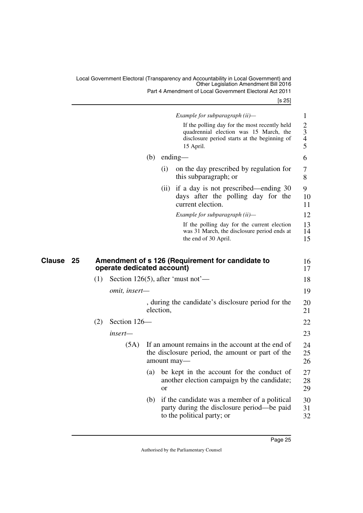Part 4 Amendment of Local Government Electoral Act 2011

[s 25]

<span id="page-26-1"></span><span id="page-26-0"></span>

|              |     |                            |     |           | Example for subparagraph (ii)-                                                                                                                       | 1                                                    |
|--------------|-----|----------------------------|-----|-----------|------------------------------------------------------------------------------------------------------------------------------------------------------|------------------------------------------------------|
|              |     |                            |     |           | If the polling day for the most recently held<br>quadrennial election was 15 March, the<br>disclosure period starts at the beginning of<br>15 April. | $\overline{c}$<br>3<br>$\overline{\mathcal{L}}$<br>5 |
|              |     |                            | (b) | ending-   |                                                                                                                                                      | 6                                                    |
|              |     |                            |     | (i)       | on the day prescribed by regulation for<br>this subparagraph; or                                                                                     | 7<br>8                                               |
|              |     |                            |     | (ii)      | if a day is not prescribed—ending 30<br>days after the polling day for the<br>current election.                                                      | 9<br>10<br>11                                        |
|              |     |                            |     |           | Example for subparagraph (ii)-                                                                                                                       | 12                                                   |
|              |     |                            |     |           | If the polling day for the current election<br>was 31 March, the disclosure period ends at<br>the end of 30 April.                                   | 13<br>14<br>15                                       |
| Clause<br>25 |     | operate dedicated account) |     |           | Amendment of s 126 (Requirement for candidate to                                                                                                     | 16<br>17                                             |
|              | (1) |                            |     |           | Section 126(5), after 'must not'—                                                                                                                    | 18                                                   |
|              |     | omit, insert-              |     |           |                                                                                                                                                      | 19                                                   |
|              |     |                            |     | election, | , during the candidate's disclosure period for the                                                                                                   | 20<br>21                                             |
|              | (2) | Section 126-               |     |           |                                                                                                                                                      | 22                                                   |
|              |     |                            |     |           |                                                                                                                                                      |                                                      |
|              |     | insert—                    |     |           |                                                                                                                                                      | 23                                                   |
|              |     | (5A)                       |     |           | If an amount remains in the account at the end of<br>the disclosure period, the amount or part of the<br>amount may-                                 | 24<br>25<br>26                                       |
|              |     |                            | (a) | <b>or</b> | be kept in the account for the conduct of<br>another election campaign by the candidate;                                                             | 27<br>28<br>29                                       |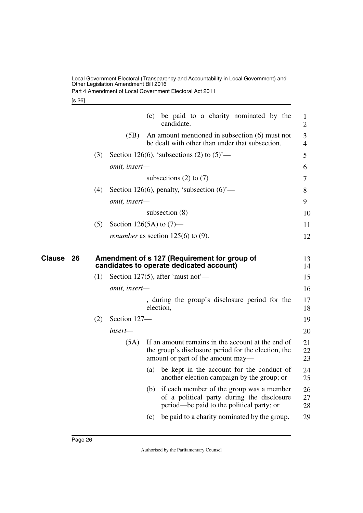Part 4 Amendment of Local Government Electoral Act 2011

#### [s 26]

<span id="page-27-1"></span><span id="page-27-0"></span>

|              |     |                            | (c) | be paid to a charity nominated by the<br>candidate.                                                                                           | $\mathbf{1}$<br>$\overline{2}$ |
|--------------|-----|----------------------------|-----|-----------------------------------------------------------------------------------------------------------------------------------------------|--------------------------------|
|              |     | (5B)                       |     | An amount mentioned in subsection (6) must not<br>be dealt with other than under that subsection.                                             | 3<br>$\overline{4}$            |
|              | (3) |                            |     | Section 126(6), 'subsections (2) to $(5)$ '—                                                                                                  | 5                              |
|              |     | omit, insert-              |     |                                                                                                                                               | 6                              |
|              |     |                            |     | subsections $(2)$ to $(7)$                                                                                                                    | 7                              |
|              | (4) |                            |     | Section 126(6), penalty, 'subsection $(6)$ '—                                                                                                 | 8                              |
|              |     | omit, insert-              |     |                                                                                                                                               | 9                              |
|              |     |                            |     | subsection $(8)$                                                                                                                              | 10                             |
|              | (5) | Section 126(5A) to $(7)$ — |     |                                                                                                                                               | 11                             |
|              |     |                            |     | <i>renumber</i> as section $125(6)$ to (9).                                                                                                   | 12                             |
| Clause<br>26 |     |                            |     | Amendment of s 127 (Requirement for group of<br>candidates to operate dedicated account)                                                      | 13<br>14                       |
|              | (1) |                            |     | Section 127(5), after 'must not'—                                                                                                             | 15                             |
|              |     | omit, insert-              |     |                                                                                                                                               | 16                             |
|              |     |                            |     | , during the group's disclosure period for the<br>election,                                                                                   | 17<br>18                       |
|              | (2) | Section 127-               |     |                                                                                                                                               | 19                             |
|              |     | insert—                    |     |                                                                                                                                               | 20                             |
|              |     | (5A)                       |     | If an amount remains in the account at the end of<br>the group's disclosure period for the election, the<br>amount or part of the amount may— | 21<br>22<br>23                 |
|              |     |                            | (a) | be kept in the account for the conduct of<br>another election campaign by the group; or                                                       | 24<br>25                       |
|              |     |                            | (b) | if each member of the group was a member<br>of a political party during the disclosure<br>period—be paid to the political party; or           | 26<br>27<br>28                 |
|              |     |                            |     | (c) be paid to a charity nominated by the group.                                                                                              | 29                             |
|              |     |                            |     |                                                                                                                                               |                                |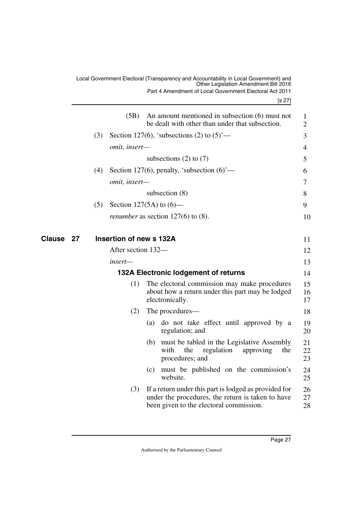<span id="page-28-3"></span><span id="page-28-2"></span><span id="page-28-1"></span><span id="page-28-0"></span>

|                  |     |                         | Local Government Electoral (Transparency and Accountability in Local Government) and<br>Other Legislation Amendment Bill 2016<br>Part 4 Amendment of Local Government Electoral Act 2011<br>[s 27] |                |
|------------------|-----|-------------------------|----------------------------------------------------------------------------------------------------------------------------------------------------------------------------------------------------|----------------|
|                  |     | (5B)                    | An amount mentioned in subsection (6) must not<br>be dealt with other than under that subsection.                                                                                                  | 1<br>2         |
|                  | (3) |                         | Section 127(6), 'subsections (2) to $(5)$ '—                                                                                                                                                       | 3              |
|                  |     | <i>omit, insert—</i>    |                                                                                                                                                                                                    | 4              |
|                  |     |                         | subsections $(2)$ to $(7)$                                                                                                                                                                         | 5              |
|                  | (4) |                         | Section 127(6), penalty, 'subsection $(6)$ '—                                                                                                                                                      | 6              |
|                  |     | omit, insert-           |                                                                                                                                                                                                    | 7              |
|                  |     |                         | subsection $(8)$                                                                                                                                                                                   | 8              |
|                  | (5) |                         | Section 127(5A) to $(6)$ —                                                                                                                                                                         | 9              |
|                  |     |                         | <i>renumber</i> as section $127(6)$ to $(8)$ .                                                                                                                                                     | 10             |
| <b>Clause 27</b> |     | Insertion of new s 132A |                                                                                                                                                                                                    | 11             |
|                  |     | After section 132-      |                                                                                                                                                                                                    | 12             |
|                  |     | insert—                 |                                                                                                                                                                                                    | 13             |
|                  |     |                         | 132A Electronic lodgement of returns                                                                                                                                                               | 14             |
|                  |     | (1)                     | The electoral commission may make procedures<br>about how a return under this part may be lodged<br>electronically.                                                                                | 15<br>16<br>17 |
|                  |     | (2)                     | The procedures—                                                                                                                                                                                    | 18             |
|                  |     |                         | do not take effect until approved by a<br>(a)<br>regulation; and                                                                                                                                   | 19<br>20       |
|                  |     |                         | must be tabled in the Legislative Assembly<br>(b)<br>with the<br>regulation<br>approving<br>the<br>procedures; and                                                                                 | 21<br>22<br>23 |
|                  |     |                         | must be published on the commission's<br>(c)<br>website.                                                                                                                                           | 24<br>25       |
|                  |     | (3)                     | If a return under this part is lodged as provided for<br>under the procedures, the return is taken to have<br>been given to the electoral commission.                                              | 26<br>27<br>28 |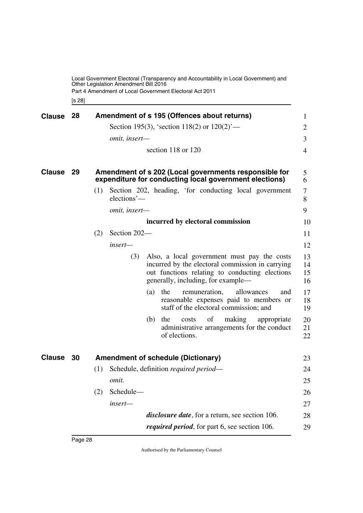Local Government Electoral (Transparency and Accountability in Local Government) and Other Legislation Amendment Bill 2016 Part 4 Amendment of Local Government Electoral Act 2011

<span id="page-29-3"></span><span id="page-29-1"></span><span id="page-29-0"></span>[s 28]

<span id="page-29-5"></span><span id="page-29-4"></span><span id="page-29-2"></span>

| Clause 28     |      |     | Amendment of s 195 (Offences about returns)                                                                     |                                                                                                                                                   | 1                    |
|---------------|------|-----|-----------------------------------------------------------------------------------------------------------------|---------------------------------------------------------------------------------------------------------------------------------------------------|----------------------|
|               |      |     | Section 195(3), 'section 118(2) or $120(2)$ '—                                                                  |                                                                                                                                                   | $\overline{2}$       |
|               |      |     | omit, insert-                                                                                                   |                                                                                                                                                   | 3                    |
|               |      |     | section 118 or 120                                                                                              |                                                                                                                                                   | $\overline{4}$       |
| <b>Clause</b> | - 29 |     | Amendment of s 202 (Local governments responsible for<br>expenditure for conducting local government elections) |                                                                                                                                                   | 5<br>6               |
|               |      | (1) | Section 202, heading, 'for conducting local government<br>elections'-                                           |                                                                                                                                                   | 7<br>8               |
|               |      |     | omit, insert-                                                                                                   |                                                                                                                                                   | 9                    |
|               |      |     | incurred by electoral commission                                                                                |                                                                                                                                                   | 10                   |
|               |      | (2) | Section 202-                                                                                                    |                                                                                                                                                   | 11                   |
|               |      |     | insert—                                                                                                         |                                                                                                                                                   | 12                   |
|               |      |     | (3)<br>generally, including, for example—                                                                       | Also, a local government must pay the costs<br>incurred by the electoral commission in carrying<br>out functions relating to conducting elections | 13<br>14<br>15<br>16 |
|               |      |     | $(a)$ the<br>remuneration,                                                                                      | allowances<br>and<br>reasonable expenses paid to members or<br>staff of the electoral commission; and                                             | 17<br>18<br>19       |
|               |      |     | (b)<br>the<br>of<br>costs<br>of elections.                                                                      | making<br>appropriate<br>administrative arrangements for the conduct                                                                              | 20<br>21<br>22       |
| Clause 30     |      |     | <b>Amendment of schedule (Dictionary)</b>                                                                       |                                                                                                                                                   | 23                   |
|               |      | (1) | Schedule, definition <i>required period—</i>                                                                    |                                                                                                                                                   | 24                   |
|               |      |     | omit.                                                                                                           |                                                                                                                                                   | 25                   |
|               |      | (2) | Schedule-                                                                                                       |                                                                                                                                                   | 26                   |
|               |      |     | insert-                                                                                                         |                                                                                                                                                   | 27                   |
|               |      |     | <i>disclosure date</i> , for a return, see section 106.                                                         |                                                                                                                                                   | 28                   |
|               |      |     | <i>required period</i> , for part 6, see section 106.                                                           |                                                                                                                                                   | 29                   |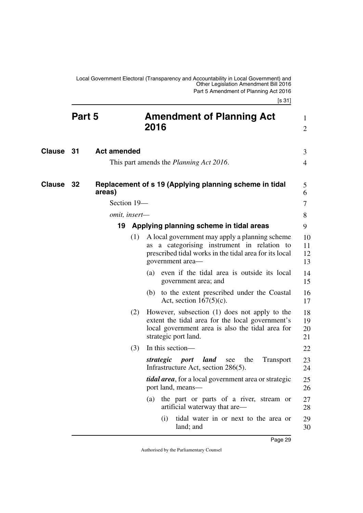<span id="page-30-7"></span><span id="page-30-6"></span><span id="page-30-5"></span><span id="page-30-4"></span><span id="page-30-3"></span><span id="page-30-2"></span><span id="page-30-1"></span><span id="page-30-0"></span>

|               | Part 5 |                    |     | <b>Amendment of Planning Act</b><br>2016                                                                                                                                      | 1<br>$\overline{2}$  |
|---------------|--------|--------------------|-----|-------------------------------------------------------------------------------------------------------------------------------------------------------------------------------|----------------------|
| Clause 31     |        | <b>Act amended</b> |     | This part amends the <i>Planning Act 2016</i> .                                                                                                                               | 3<br>4               |
| <b>Clause</b> | - 32   | areas)             |     | Replacement of s 19 (Applying planning scheme in tidal                                                                                                                        | 5<br>6               |
|               |        | Section 19-        |     |                                                                                                                                                                               | 7                    |
|               |        | omit, insert-      |     |                                                                                                                                                                               | 8                    |
|               |        | 19                 |     | Applying planning scheme in tidal areas                                                                                                                                       | 9                    |
|               |        |                    | (1) | A local government may apply a planning scheme<br>as a categorising instrument in relation to<br>prescribed tidal works in the tidal area for its local<br>government area-   | 10<br>11<br>12<br>13 |
|               |        |                    |     | (a) even if the tidal area is outside its local<br>government area; and                                                                                                       | 14<br>15             |
|               |        |                    |     | to the extent prescribed under the Coastal<br>(b)<br>Act, section $167(5)(c)$ .                                                                                               | 16<br>17             |
|               |        |                    | (2) | However, subsection (1) does not apply to the<br>extent the tidal area for the local government's<br>local government area is also the tidal area for<br>strategic port land. | 18<br>19<br>20<br>21 |
|               |        |                    | (3) | In this section—                                                                                                                                                              | 22                   |
|               |        |                    |     | land<br>strategic<br>the<br><b>Transport</b><br><i>port</i><br>see<br>Infrastructure Act, section 286(5).                                                                     | 23<br>24             |
|               |        |                    |     | <i>tidal area</i> , for a local government area or strategic<br>port land, means—                                                                                             | 25<br>26             |
|               |        |                    |     | the part or parts of a river, stream or<br>(a)<br>artificial waterway that are—                                                                                               | 27<br>28             |
|               |        |                    |     | tidal water in or next to the area or<br>(i)<br>land; and                                                                                                                     | 29<br>30             |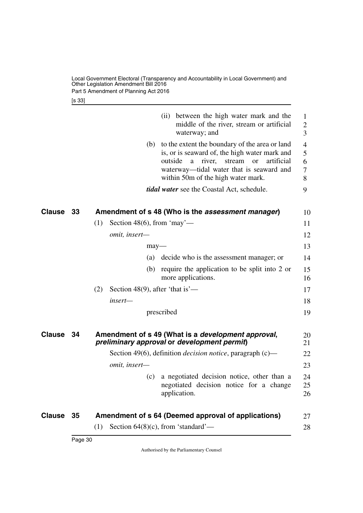Local Government Electoral (Transparency and Accountability in Local Government) and Other Legislation Amendment Bill 2016 Part 5 Amendment of Planning Act 2016

<span id="page-31-1"></span>[s 33]

<span id="page-31-5"></span><span id="page-31-4"></span><span id="page-31-3"></span><span id="page-31-2"></span><span id="page-31-0"></span>

|                  |    | (ii) between the high water mark and the<br>middle of the river, stream or artificial<br>waterway; and                                                                                                                                               | 1<br>$\overline{2}$<br>3 |
|------------------|----|------------------------------------------------------------------------------------------------------------------------------------------------------------------------------------------------------------------------------------------------------|--------------------------|
|                  |    | (b) to the extent the boundary of the area or land<br>is, or is seaward of, the high water mark and<br>outside<br>river,<br>artificial<br>stream<br>a<br><b>or</b><br>waterway—tidal water that is seaward and<br>within 50m of the high water mark. | 4<br>5<br>6<br>7<br>8    |
|                  |    | <i>tidal water</i> see the Coastal Act, schedule.                                                                                                                                                                                                    | 9                        |
| <b>Clause 33</b> |    | Amendment of s 48 (Who is the assessment manager)                                                                                                                                                                                                    | 10                       |
|                  |    | Section 48(6), from 'may'—<br>(1)                                                                                                                                                                                                                    | 11                       |
|                  |    | omit, insert-                                                                                                                                                                                                                                        | 12                       |
|                  |    | $may$ —                                                                                                                                                                                                                                              | 13                       |
|                  |    | decide who is the assessment manager; or<br>(a)                                                                                                                                                                                                      | 14                       |
|                  |    | require the application to be split into 2 or<br>(b)<br>more applications.                                                                                                                                                                           | 15<br>16                 |
|                  |    | Section 48(9), after 'that is'—<br>(2)                                                                                                                                                                                                               | 17                       |
|                  |    | insert-                                                                                                                                                                                                                                              | 18                       |
|                  |    | prescribed                                                                                                                                                                                                                                           | 19                       |
| Clause           | 34 | Amendment of s 49 (What is a <i>development approval</i> ,<br>preliminary approval or development permit)                                                                                                                                            | 20<br>21                 |
|                  |    | Section 49(6), definition <i>decision notice</i> , paragraph (c)—                                                                                                                                                                                    | 22                       |
|                  |    | omit, insert-                                                                                                                                                                                                                                        | 23                       |
|                  |    | a negotiated decision notice, other than a<br>(c)<br>negotiated decision notice for a change<br>application.                                                                                                                                         | 24<br>25<br>26           |
| Clause           | 35 | Amendment of s 64 (Deemed approval of applications)                                                                                                                                                                                                  | 27                       |
|                  |    | Section $64(8)(c)$ , from 'standard'—<br>(1)                                                                                                                                                                                                         | 28                       |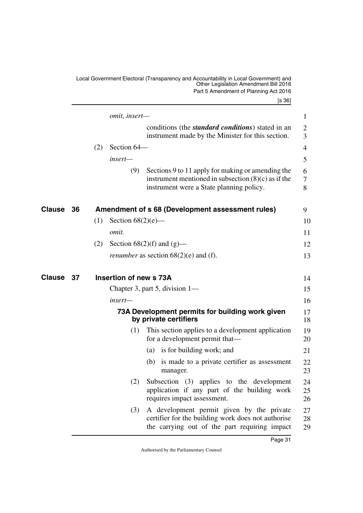<span id="page-32-5"></span><span id="page-32-4"></span><span id="page-32-3"></span><span id="page-32-2"></span><span id="page-32-1"></span><span id="page-32-0"></span>

|        |    |     |                        | Local Government Electoral (Transparency and Accountability in Local Government) and<br>Other Legislation Amendment Bill 2016<br>Part 5 Amendment of Planning Act 2016<br>[s 36] |                     |
|--------|----|-----|------------------------|----------------------------------------------------------------------------------------------------------------------------------------------------------------------------------|---------------------|
|        |    |     | omit, insert-          |                                                                                                                                                                                  | 1                   |
|        |    |     |                        | conditions (the <i>standard conditions</i> ) stated in an<br>instrument made by the Minister for this section.                                                                   | $\overline{2}$<br>3 |
|        |    | (2) | Section 64-            |                                                                                                                                                                                  | 4                   |
|        |    |     | insert—                |                                                                                                                                                                                  | 5                   |
|        |    |     | (9)                    | Sections 9 to 11 apply for making or amending the<br>instrument mentioned in subsection $(8)(c)$ as if the<br>instrument were a State planning policy.                           | 6<br>7<br>8         |
| Clause | 36 |     |                        | Amendment of s 68 (Development assessment rules)                                                                                                                                 | 9                   |
|        |    | (1) | Section $68(2)(e)$ —   |                                                                                                                                                                                  | 10                  |
|        |    |     | omit.                  |                                                                                                                                                                                  | 11                  |
|        |    | (2) |                        | Section $68(2)(f)$ and $(g)$ —                                                                                                                                                   | 12                  |
|        |    |     |                        | <i>renumber</i> as section $68(2)$ (e) and (f).                                                                                                                                  | 13                  |
| Clause | 37 |     | Insertion of new s 73A |                                                                                                                                                                                  | 14                  |
|        |    |     |                        | Chapter 3, part 5, division $1-$                                                                                                                                                 | 15                  |
|        |    |     | insert—                |                                                                                                                                                                                  | 16                  |
|        |    |     |                        | 73A Development permits for building work given<br>by private certifiers                                                                                                         | 17<br>18            |
|        |    |     | (1)                    | This section applies to a development application<br>for a development permit that—                                                                                              | 19<br>20            |
|        |    |     |                        | is for building work; and<br>(a)                                                                                                                                                 | 21                  |
|        |    |     |                        | is made to a private certifier as assessment<br>(b)<br>manager.                                                                                                                  | 22<br>23            |
|        |    |     | (2)                    | Subsection (3) applies to the development<br>application if any part of the building work<br>requires impact assessment.                                                         | 24<br>25<br>26      |
|        |    |     | (3)                    | A development permit given by the private<br>certifier for the building work does not authorise<br>the carrying out of the part requiring impact                                 | 27<br>28<br>29      |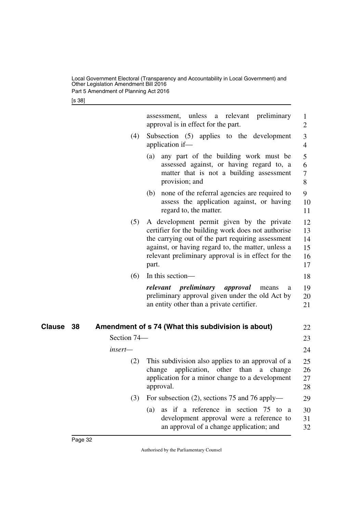Part 5 Amendment of Planning Act 2016

[s 38]

<span id="page-33-1"></span><span id="page-33-0"></span>

|              |             | assessment, unless a relevant preliminary<br>approval is in effect for the part.                                                                                                                                                                                          | $\mathbf{1}$<br>2                |
|--------------|-------------|---------------------------------------------------------------------------------------------------------------------------------------------------------------------------------------------------------------------------------------------------------------------------|----------------------------------|
|              | (4)         | Subsection $(5)$<br>applies to the development<br>application if-                                                                                                                                                                                                         | 3<br>4                           |
|              |             | any part of the building work must be<br>(a)<br>assessed against, or having regard to, a<br>matter that is not a building assessment<br>provision; and                                                                                                                    | 5<br>6<br>$\tau$<br>8            |
|              |             | none of the referral agencies are required to<br>(b)<br>assess the application against, or having<br>regard to, the matter.                                                                                                                                               | 9<br>10<br>11                    |
|              | (5)         | A development permit given by the private<br>certifier for the building work does not authorise<br>the carrying out of the part requiring assessment<br>against, or having regard to, the matter, unless a<br>relevant preliminary approval is in effect for the<br>part. | 12<br>13<br>14<br>15<br>16<br>17 |
|              | (6)         | In this section-                                                                                                                                                                                                                                                          | 18                               |
|              |             | relevant preliminary<br>approval<br>means<br>a<br>preliminary approval given under the old Act by<br>an entity other than a private certifier.                                                                                                                            | 19<br>20<br>21                   |
| Clause<br>38 |             | Amendment of s 74 (What this subdivision is about)                                                                                                                                                                                                                        | 22                               |
|              | Section 74- |                                                                                                                                                                                                                                                                           | 23                               |
|              | insert-     |                                                                                                                                                                                                                                                                           | 24                               |
|              | (2)         | This subdivision also applies to an approval of a<br>application, other than a change<br>change<br>application for a minor change to a development<br>approval.                                                                                                           | 25<br>26<br>27<br>28             |
|              | (3)         | For subsection (2), sections 75 and 76 apply—                                                                                                                                                                                                                             | 29                               |
|              |             | as if a reference in section 75 to a<br>(a)<br>development approval were a reference to<br>an approval of a change application; and                                                                                                                                       | 30<br>31<br>32                   |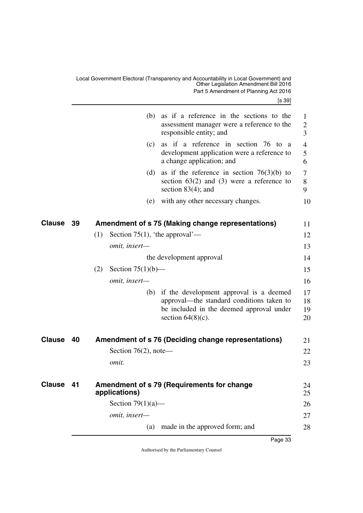<span id="page-34-5"></span><span id="page-34-4"></span><span id="page-34-3"></span><span id="page-34-2"></span><span id="page-34-1"></span><span id="page-34-0"></span>

|               |    | (b) as if a reference in the sections to the<br>assessment manager were a reference to the<br>responsible entity; and                                        | 1<br>$\overline{2}$<br>3 |
|---------------|----|--------------------------------------------------------------------------------------------------------------------------------------------------------------|--------------------------|
|               |    | as if a reference in section 76 to<br>(c)<br><sub>a</sub><br>development application were a reference to<br>a change application; and                        | 4<br>5<br>6              |
|               |    | (d)<br>as if the reference in section $76(3)(b)$ to<br>section $63(2)$ and $(3)$ were a reference to<br>section $83(4)$ ; and                                | 7<br>8<br>9              |
|               |    | with any other necessary changes.<br>(e)                                                                                                                     | 10                       |
| Clause        | 39 | Amendment of s 75 (Making change representations)                                                                                                            | 11                       |
|               |    | Section 75(1), 'the approval'—<br>(1)                                                                                                                        | 12                       |
|               |    | omit, insert-                                                                                                                                                | 13                       |
|               |    | the development approval                                                                                                                                     | 14                       |
|               |    | (2)<br>Section $75(1)(b)$ —                                                                                                                                  | 15                       |
|               |    | omit, insert-                                                                                                                                                | 16                       |
|               |    | (b) if the development approval is a deemed<br>approval—the standard conditions taken to<br>be included in the deemed approval under<br>section $64(8)(c)$ . | 17<br>18<br>19<br>20     |
| Clause        | 40 | Amendment of s 76 (Deciding change representations)                                                                                                          | 21                       |
|               |    | Section $76(2)$ , note—                                                                                                                                      | 22                       |
|               |    | omit.                                                                                                                                                        | 23                       |
| <b>Clause</b> | 41 | Amendment of s 79 (Requirements for change<br>applications)                                                                                                  | 24<br>25                 |
|               |    | Section $79(1)(a)$ —                                                                                                                                         | 26                       |
|               |    | omit, insert-                                                                                                                                                | 27                       |
|               |    | (a) made in the approved form; and                                                                                                                           | 28                       |
|               |    |                                                                                                                                                              |                          |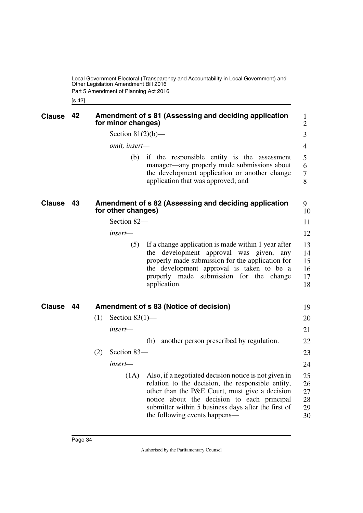Local Government Electoral (Transparency and Accountability in Local Government) and Other Legislation Amendment Bill 2016 Part 5 Amendment of Planning Act 2016

<span id="page-35-3"></span><span id="page-35-1"></span><span id="page-35-0"></span>[s 42]

<span id="page-35-5"></span><span id="page-35-4"></span><span id="page-35-2"></span>

| <b>Clause</b> | 42   | Amendment of s 81 (Assessing and deciding application<br>for minor changes)                                                                                                                                                                                                                                 | 1<br>$\overline{2}$              |
|---------------|------|-------------------------------------------------------------------------------------------------------------------------------------------------------------------------------------------------------------------------------------------------------------------------------------------------------------|----------------------------------|
|               |      | Section $81(2)(b)$ —                                                                                                                                                                                                                                                                                        | 3                                |
|               |      | omit, insert-                                                                                                                                                                                                                                                                                               | $\overline{4}$                   |
|               |      | (b)<br>if the responsible entity is the assessment<br>manager—any properly made submissions about<br>the development application or another change<br>application that was approved; and                                                                                                                    | 5<br>6<br>7<br>8                 |
| <b>Clause</b> | - 43 | Amendment of s 82 (Assessing and deciding application<br>for other changes)                                                                                                                                                                                                                                 | 9<br>10                          |
|               |      | Section 82-                                                                                                                                                                                                                                                                                                 | 11                               |
|               |      | insert—                                                                                                                                                                                                                                                                                                     | 12                               |
|               |      | (5)<br>If a change application is made within 1 year after<br>the development approval was given,<br>any<br>properly made submission for the application for<br>the development approval is taken to be a<br>properly made submission for the change<br>application.                                        | 13<br>14<br>15<br>16<br>17<br>18 |
| <b>Clause</b> | - 44 | Amendment of s 83 (Notice of decision)                                                                                                                                                                                                                                                                      | 19                               |
|               |      | Section $83(1)$ —<br>(1)                                                                                                                                                                                                                                                                                    | 20                               |
|               |      | insert-                                                                                                                                                                                                                                                                                                     | 21                               |
|               |      | another person prescribed by regulation.<br>(h)                                                                                                                                                                                                                                                             | 22                               |
|               |      | (2)<br>Section 83-                                                                                                                                                                                                                                                                                          | 23                               |
|               |      | insert—                                                                                                                                                                                                                                                                                                     | 24                               |
|               |      | (1A)<br>Also, if a negotiated decision notice is not given in<br>relation to the decision, the responsible entity,<br>other than the P&E Court, must give a decision<br>notice about the decision to each principal<br>submitter within 5 business days after the first of<br>the following events happens— | 25<br>26<br>27<br>28<br>29<br>30 |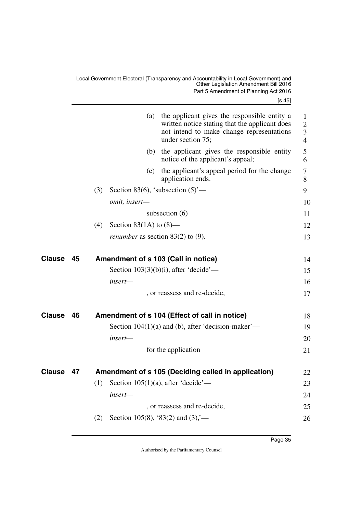<span id="page-36-5"></span><span id="page-36-4"></span><span id="page-36-3"></span><span id="page-36-2"></span><span id="page-36-1"></span><span id="page-36-0"></span>

|               |    | the applicant gives the responsible entity a<br>(a)<br>written notice stating that the applicant does<br>not intend to make change representations<br>under section 75; | 1<br>$\overline{2}$<br>3<br>$\overline{4}$ |
|---------------|----|-------------------------------------------------------------------------------------------------------------------------------------------------------------------------|--------------------------------------------|
|               |    | (b) the applicant gives the responsible entity<br>notice of the applicant's appeal;                                                                                     | 5<br>6                                     |
|               |    | the applicant's appeal period for the change<br>(c)<br>application ends.                                                                                                | 7<br>8                                     |
|               |    | Section 83(6), 'subsection $(5)$ '—<br>(3)                                                                                                                              | 9                                          |
|               |    | omit, insert-                                                                                                                                                           | 10                                         |
|               |    | subsection $(6)$                                                                                                                                                        | 11                                         |
|               |    | Section 83(1A) to $(8)$ —<br>(4)                                                                                                                                        | 12                                         |
|               |    | <i>renumber</i> as section $83(2)$ to (9).                                                                                                                              | 13                                         |
| <b>Clause</b> | 45 | Amendment of s 103 (Call in notice)                                                                                                                                     | 14                                         |
|               |    | Section $103(3)(b)(i)$ , after 'decide'—                                                                                                                                | 15                                         |
|               |    | insert—                                                                                                                                                                 | 16                                         |
|               |    | , or reassess and re-decide,                                                                                                                                            | 17                                         |
| <b>Clause</b> | 46 | Amendment of s 104 (Effect of call in notice)                                                                                                                           | 18                                         |
|               |    | Section $104(1)(a)$ and (b), after 'decision-maker'—                                                                                                                    | 19                                         |
|               |    | insert—                                                                                                                                                                 | 20                                         |
|               |    | for the application                                                                                                                                                     | 21                                         |
| <b>Clause</b> | 47 | Amendment of s 105 (Deciding called in application)                                                                                                                     | 22                                         |
|               |    | (1)<br>Section 105(1)(a), after 'decide'—                                                                                                                               | 23                                         |
|               |    | insert-                                                                                                                                                                 | 24                                         |
|               |    | , or reassess and re-decide,                                                                                                                                            | 25                                         |
|               |    | Section 105(8), '83(2) and $(3)$ ,'-<br>(2)                                                                                                                             | 26                                         |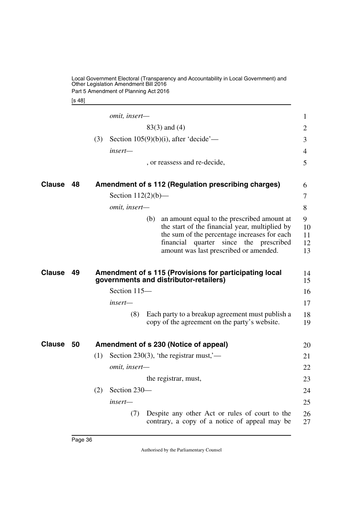Local Government Electoral (Transparency and Accountability in Local Government) and Other Legislation Amendment Bill 2016 Part 5 Amendment of Planning Act 2016

<span id="page-37-1"></span>[s 48]

<span id="page-37-5"></span><span id="page-37-4"></span><span id="page-37-3"></span><span id="page-37-2"></span><span id="page-37-0"></span>

|               |    | omit, insert-                                                                                                                                                                                                                                  | $\mathbf{1}$              |
|---------------|----|------------------------------------------------------------------------------------------------------------------------------------------------------------------------------------------------------------------------------------------------|---------------------------|
|               |    | $83(3)$ and $(4)$                                                                                                                                                                                                                              | 2                         |
|               |    | (3)<br>Section $105(9)(b)(i)$ , after 'decide'—                                                                                                                                                                                                | 3                         |
|               |    | insert—                                                                                                                                                                                                                                        | $\overline{4}$            |
|               |    | , or reassess and re-decide,                                                                                                                                                                                                                   | 5                         |
| <b>Clause</b> | 48 | Amendment of s 112 (Regulation prescribing charges)                                                                                                                                                                                            | 6                         |
|               |    | Section $112(2)(b)$ —                                                                                                                                                                                                                          | 7                         |
|               |    | omit, insert-                                                                                                                                                                                                                                  | 8                         |
|               |    | an amount equal to the prescribed amount at<br>(b)<br>the start of the financial year, multiplied by<br>the sum of the percentage increases for each<br>since the prescribed<br>financial<br>quarter<br>amount was last prescribed or amended. | 9<br>10<br>11<br>12<br>13 |
| <b>Clause</b> | 49 | Amendment of s 115 (Provisions for participating local<br>governments and distributor-retailers)                                                                                                                                               | 14<br>15                  |
|               |    | Section 115-                                                                                                                                                                                                                                   | 16                        |
|               |    | insert—                                                                                                                                                                                                                                        | 17                        |
|               |    | Each party to a breakup agreement must publish a<br>(8)<br>copy of the agreement on the party's website.                                                                                                                                       | 18<br>19                  |
| Clause        | 50 | Amendment of s 230 (Notice of appeal)                                                                                                                                                                                                          | 20                        |
|               |    | (1)<br>Section 230(3), 'the registrar must,'—                                                                                                                                                                                                  | 21                        |
|               |    | omit, insert-                                                                                                                                                                                                                                  | 22                        |
|               |    | the registrar, must,                                                                                                                                                                                                                           | 23                        |
|               |    | Section 230-<br>(2)                                                                                                                                                                                                                            | 24                        |
|               |    | insert—                                                                                                                                                                                                                                        | 25                        |
|               |    | Despite any other Act or rules of court to the<br>(7)<br>contrary, a copy of a notice of appeal may be                                                                                                                                         | 26<br>27                  |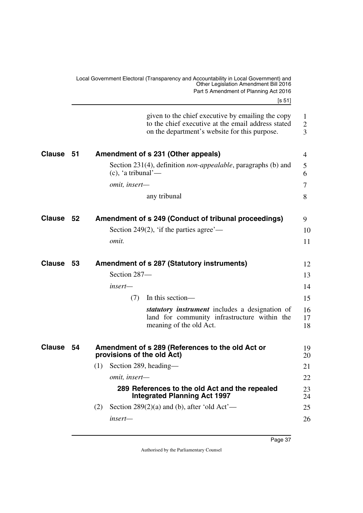<span id="page-38-7"></span><span id="page-38-6"></span><span id="page-38-5"></span><span id="page-38-4"></span><span id="page-38-3"></span><span id="page-38-2"></span><span id="page-38-1"></span><span id="page-38-0"></span>

|               |     | Local Government Electoral (Transparency and Accountability in Local Government) and<br>Other Legislation Amendment Bill 2016<br>Part 5 Amendment of Planning Act 2016<br> s 51 |                          |
|---------------|-----|---------------------------------------------------------------------------------------------------------------------------------------------------------------------------------|--------------------------|
|               |     | given to the chief executive by emailing the copy<br>to the chief executive at the email address stated<br>on the department's website for this purpose.                        | 1<br>$\overline{2}$<br>3 |
| <b>Clause</b> | -51 | Amendment of s 231 (Other appeals)                                                                                                                                              | 4                        |
|               |     | Section 231(4), definition <i>non-appealable</i> , paragraphs (b) and<br>$(c)$ , 'a tribunal'—                                                                                  | 5<br>6                   |
|               |     | omit, insert-                                                                                                                                                                   | 7                        |
|               |     | any tribunal                                                                                                                                                                    | 8                        |
| <b>Clause</b> | 52  | Amendment of s 249 (Conduct of tribunal proceedings)                                                                                                                            | 9                        |
|               |     | Section 249(2), 'if the parties agree'—                                                                                                                                         | 10                       |
|               |     | <i>omit.</i>                                                                                                                                                                    | 11                       |
| <b>Clause</b> | 53  | <b>Amendment of s 287 (Statutory instruments)</b>                                                                                                                               | 12                       |
|               |     | Section 287-                                                                                                                                                                    | 13                       |
|               |     | insert-                                                                                                                                                                         | 14                       |
|               |     | In this section—<br>(7)                                                                                                                                                         | 15                       |
|               |     | <i>statutory instrument</i> includes a designation of<br>land for community infrastructure within the<br>meaning of the old Act.                                                | 16<br>17<br>18           |
| Clause 54     |     | Amendment of s 289 (References to the old Act or<br>provisions of the old Act)                                                                                                  | 19<br>20                 |
|               |     | Section 289, heading—<br>(1)                                                                                                                                                    | 21                       |
|               |     | omit, insert-                                                                                                                                                                   | 22                       |
|               |     | 289 References to the old Act and the repealed<br><b>Integrated Planning Act 1997</b>                                                                                           | 23<br>24                 |
|               |     | Section 289(2)(a) and (b), after 'old $Act'$ —<br>(2)                                                                                                                           | 25                       |
|               |     | insert-                                                                                                                                                                         | 26                       |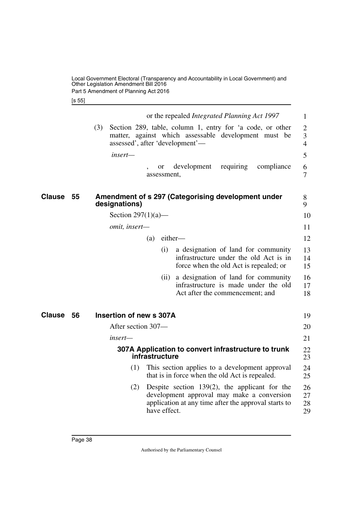<span id="page-39-1"></span>[s 55]

<span id="page-39-5"></span><span id="page-39-4"></span><span id="page-39-3"></span><span id="page-39-2"></span><span id="page-39-0"></span>

|              | or the repealed <i>Integrated Planning Act 1997</i>                                                                                                                           | 1                                     |
|--------------|-------------------------------------------------------------------------------------------------------------------------------------------------------------------------------|---------------------------------------|
|              | Section 289, table, column 1, entry for 'a code, or other<br>(3)<br>matter, against which assessable development must be<br>assessed', after 'development'—                   | $\overline{2}$<br>3<br>$\overline{4}$ |
|              | insert—                                                                                                                                                                       | 5                                     |
|              | development<br>requiring<br>compliance<br>or<br>assessment.                                                                                                                   | 6<br>$\tau$                           |
| Clause<br>55 | Amendment of s 297 (Categorising development under<br>designations)                                                                                                           | 8<br>9                                |
|              | Section $297(1)(a)$ —                                                                                                                                                         | 10                                    |
|              | omit, insert-                                                                                                                                                                 | 11                                    |
|              | either-<br>(a)                                                                                                                                                                | 12                                    |
|              | (i)<br>a designation of land for community<br>infrastructure under the old Act is in<br>force when the old Act is repealed; or                                                | 13<br>14<br>15                        |
|              | (ii) a designation of land for community<br>infrastructure is made under the old<br>Act after the commencement; and                                                           | 16<br>17<br>18                        |
| Clause<br>56 | Insertion of new s 307A                                                                                                                                                       | 19                                    |
|              | After section 307-                                                                                                                                                            | 20                                    |
|              | insert—                                                                                                                                                                       | 21                                    |
|              | 307A Application to convert infrastructure to trunk<br>infrastructure                                                                                                         | 22<br>23                              |
|              | This section applies to a development approval<br>(1)<br>that is in force when the old Act is repealed.                                                                       | 24<br>25                              |
|              | Despite section $139(2)$ , the applicant for the<br>(2)<br>development approval may make a conversion<br>application at any time after the approval starts to<br>have effect. | 26<br>27<br>28<br>29                  |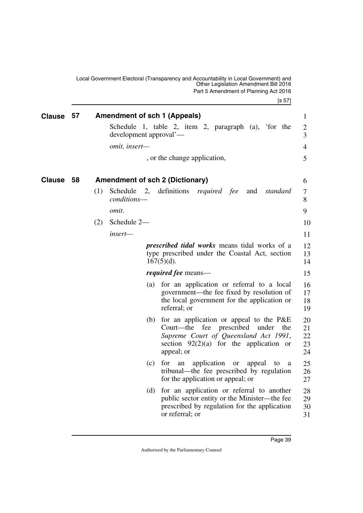<span id="page-40-1"></span><span id="page-40-0"></span>Local Government Electoral (Transparency and Accountability in Local Government) and Other Legislation Amendment Bill 2016 Part 5 Amendment of Planning Act 2016

<span id="page-40-3"></span><span id="page-40-2"></span>[s 57] **Clause 57 Amendment of sch 1 (Appeals)** 1 Schedule 1, table 2, item 2, paragraph (a), 'for the development approval' *omit, insert—* , or the change application, **58 Amendment of sch 2 (Dictionary) Clause** 6 (1) Schedule 2, definitions *required fee* and *standard conditions omit*. (2) Schedule 2 *insert prescribed tidal works* means tidal works of a type prescribed under the Coastal Act, section  $167(5)(d)$ . *required fee* means— (a) for an application or referral to a local government—the fee fixed by resolution of the local government for the application or referral; or (b) for an application or appeal to the P&E Court—the fee prescribed under the *Supreme Court of Queensland Act 1991*, section  $92(2)(a)$  for the application or appeal; or (c) for an application or appeal to a tribunal—the fee prescribed by regulation for the application or appeal; or 2 3 4 5 7 8 9 10 11 12 13 14 15 16 17 18 19 20 21 22 23 24 25 26 27

> (d) for an application or referral to another public sector entity or the Minister—the fee prescribed by regulation for the application or referral; or 28 29 30 31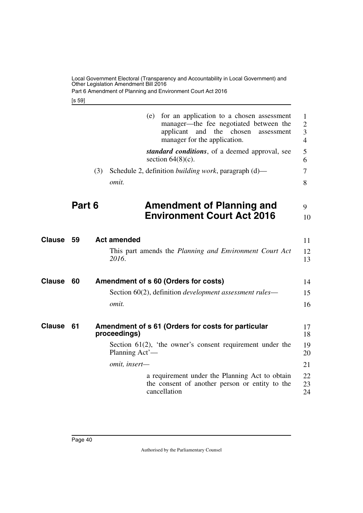Part 6 Amendment of Planning and Environment Court Act 2016

<span id="page-41-1"></span>[s 59]

<span id="page-41-7"></span><span id="page-41-6"></span><span id="page-41-5"></span><span id="page-41-4"></span><span id="page-41-3"></span><span id="page-41-2"></span><span id="page-41-0"></span>

|               |        |     | (e)                | for an application to a chosen assessment<br>manager—the fee negotiated between the<br>applicant<br>and the chosen<br>assessment<br>manager for the application. | 1<br>$\overline{2}$<br>3<br>$\overline{4}$ |
|---------------|--------|-----|--------------------|------------------------------------------------------------------------------------------------------------------------------------------------------------------|--------------------------------------------|
|               |        |     |                    | standard conditions, of a deemed approval, see<br>section $64(8)(c)$ .                                                                                           | 5<br>6                                     |
|               |        | (3) |                    | Schedule 2, definition <i>building work</i> , paragraph (d)—                                                                                                     | 7                                          |
|               |        |     | omit.              |                                                                                                                                                                  | 8                                          |
|               | Part 6 |     |                    | <b>Amendment of Planning and</b>                                                                                                                                 | 9                                          |
|               |        |     |                    | <b>Environment Court Act 2016</b>                                                                                                                                | 10                                         |
| Clause        | 59     |     | <b>Act amended</b> |                                                                                                                                                                  | 11                                         |
|               |        |     | 2016.              | This part amends the Planning and Environment Court Act                                                                                                          | 12<br>13                                   |
| <b>Clause</b> | 60     |     |                    | Amendment of s 60 (Orders for costs)                                                                                                                             | 14                                         |
|               |        |     |                    | Section 60(2), definition <i>development</i> assessment rules—                                                                                                   | 15                                         |
|               |        |     | omit.              |                                                                                                                                                                  | 16                                         |
| <b>Clause</b> | 61     |     | proceedings)       | Amendment of s 61 (Orders for costs for particular                                                                                                               | 17<br>18                                   |
|               |        |     | Planning Act'-     | Section $61(2)$ , 'the owner's consent requirement under the                                                                                                     | 19<br>20                                   |
|               |        |     | omit, insert-      |                                                                                                                                                                  | 21                                         |
|               |        |     |                    | a requirement under the Planning Act to obtain<br>the consent of another person or entity to the<br>cancellation                                                 | 22<br>23<br>24                             |
|               |        |     |                    |                                                                                                                                                                  |                                            |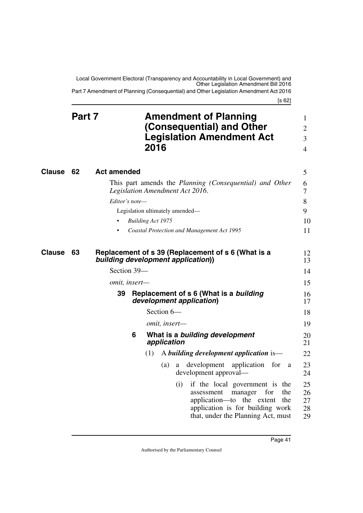<span id="page-42-1"></span><span id="page-42-0"></span>Local Government Electoral (Transparency and Accountability in Local Government) and Other Legislation Amendment Bill 2016 Part 7 Amendment of Planning (Consequential) and Other Legislation Amendment Act 2016

[s 62]

<span id="page-42-7"></span><span id="page-42-6"></span><span id="page-42-5"></span><span id="page-42-4"></span><span id="page-42-3"></span><span id="page-42-2"></span>

|               | Part 7 |                                                                    |   | 2016 |                          |     | <b>Amendment of Planning</b><br>(Consequential) and Other<br><b>Legislation Amendment Act</b>                                                                                       | $\mathbf 1$<br>$\overline{2}$<br>3<br>$\overline{4}$ |
|---------------|--------|--------------------------------------------------------------------|---|------|--------------------------|-----|-------------------------------------------------------------------------------------------------------------------------------------------------------------------------------------|------------------------------------------------------|
| <b>Clause</b> | 62     | <b>Act amended</b>                                                 |   |      |                          |     |                                                                                                                                                                                     | 5                                                    |
|               |        |                                                                    |   |      |                          |     | This part amends the Planning (Consequential) and Other<br>Legislation Amendment Act 2016.                                                                                          | 6<br>7                                               |
|               |        | Editor's note-                                                     |   |      |                          |     |                                                                                                                                                                                     | 8                                                    |
|               |        |                                                                    |   |      |                          |     | Legislation ultimately amended-                                                                                                                                                     | 9                                                    |
|               |        |                                                                    |   |      | <b>Building Act 1975</b> |     |                                                                                                                                                                                     | 10                                                   |
|               |        |                                                                    |   |      |                          |     | Coastal Protection and Management Act 1995                                                                                                                                          | 11                                                   |
| Clause        | 63     | building development application))<br>Section 39-<br>omit, insert- |   |      |                          |     | Replacement of s 39 (Replacement of s 6 (What is a                                                                                                                                  | 12<br>13<br>14<br>15                                 |
|               |        | 39                                                                 |   |      |                          |     | Replacement of s 6 (What is a building<br>development application)                                                                                                                  | 16<br>17                                             |
|               |        |                                                                    |   |      | Section 6-               |     |                                                                                                                                                                                     | 18                                                   |
|               |        |                                                                    |   |      | omit, insert-            |     |                                                                                                                                                                                     | 19                                                   |
|               |        |                                                                    | 6 |      | application              |     | What is a building development                                                                                                                                                      | 20<br>21                                             |
|               |        |                                                                    |   | (1)  |                          |     | A building development application is—                                                                                                                                              | 22                                                   |
|               |        |                                                                    |   |      | (a)                      | a   | development<br>application<br>for<br>a<br>development approval-                                                                                                                     | 23<br>24                                             |
|               |        |                                                                    |   |      |                          | (i) | if the local government is the<br>assessment<br>manager<br>for<br>the<br>application-to the extent<br>the<br>application is for building work<br>that, under the Planning Act, must | 25<br>26<br>27<br>28<br>29                           |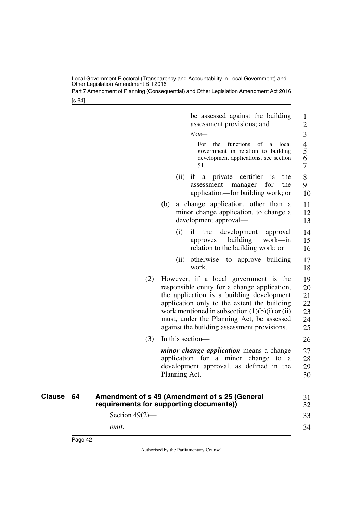Part 7 Amendment of Planning (Consequential) and Other Legislation Amendment Act 2016

[s 64]

<span id="page-43-1"></span><span id="page-43-0"></span>

|           |                                         |     |               | be assessed against the building<br>assessment provisions; and                                                                                                                                                                                                                                                                      | 1<br>$\overline{2}$                     |
|-----------|-----------------------------------------|-----|---------------|-------------------------------------------------------------------------------------------------------------------------------------------------------------------------------------------------------------------------------------------------------------------------------------------------------------------------------------|-----------------------------------------|
|           |                                         |     |               | $Note-$<br>For<br>the<br>functions<br>of<br>local<br>a<br>government in relation to building<br>development applications, see section<br>51.                                                                                                                                                                                        | 3<br>$\overline{4}$<br>5<br>6<br>$\tau$ |
|           |                                         |     |               | $(ii)$ if a<br>private certifier<br>$\overline{1}$<br>the<br>the<br>for<br>assessment<br>manager<br>application—for building work; or                                                                                                                                                                                               | 8<br>9<br>10                            |
|           |                                         | (b) |               | a change application, other than a<br>minor change application, to change a<br>development approval—                                                                                                                                                                                                                                | 11<br>12<br>13                          |
|           |                                         |     | (i)           | if<br>the<br>development<br>approval<br>building<br>work—in<br>approves<br>relation to the building work; or                                                                                                                                                                                                                        | 14<br>15<br>16                          |
|           |                                         |     |               | (ii) otherwise—to approve building<br>work.                                                                                                                                                                                                                                                                                         | 17<br>18                                |
|           | (2)                                     |     |               | However, if a local government is the<br>responsible entity for a change application,<br>the application is a building development<br>application only to the extent the building<br>work mentioned in subsection $(1)(b)(i)$ or $(ii)$<br>must, under the Planning Act, be assessed<br>against the building assessment provisions. | 19<br>20<br>21<br>22<br>23<br>24<br>25  |
|           | (3)                                     |     |               | In this section—                                                                                                                                                                                                                                                                                                                    | 26                                      |
|           |                                         |     | Planning Act. | <i>minor change application</i> means a change<br>application for a minor change to a<br>development approval, as defined in the                                                                                                                                                                                                    | 27<br>28<br>29<br>30                    |
| Clause 64 | requirements for supporting documents)) |     |               | Amendment of s 49 (Amendment of s 25 (General                                                                                                                                                                                                                                                                                       | 31<br>32                                |
|           | Section $49(2)$ —                       |     |               |                                                                                                                                                                                                                                                                                                                                     | 33                                      |
|           | omit.                                   |     |               |                                                                                                                                                                                                                                                                                                                                     | 34                                      |
|           |                                         |     |               |                                                                                                                                                                                                                                                                                                                                     |                                         |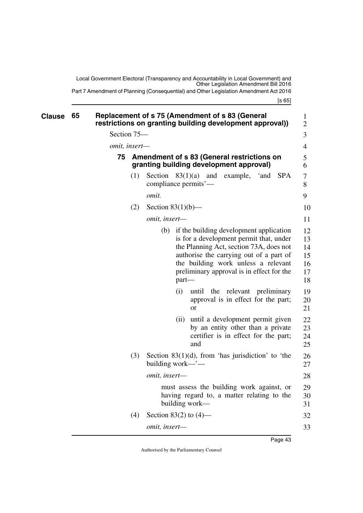<span id="page-44-3"></span><span id="page-44-1"></span>Local Government Electoral (Transparency and Accountability in Local Government) and Other Legislation Amendment Bill 2016 Part 7 Amendment of Planning (Consequential) and Other Legislation Amendment Act 2016

<span id="page-44-2"></span><span id="page-44-0"></span>

| Clause | 65 |             |                            |       | Replacement of s 75 (Amendment of s 83 (General<br>restrictions on granting building development approval))                                                                                                                                                      | $\mathbf{1}$<br>$\overline{2}$         |  |  |  |  |
|--------|----|-------------|----------------------------|-------|------------------------------------------------------------------------------------------------------------------------------------------------------------------------------------------------------------------------------------------------------------------|----------------------------------------|--|--|--|--|
|        |    | Section 75- |                            |       |                                                                                                                                                                                                                                                                  | 3                                      |  |  |  |  |
|        |    |             | omit, insert-              |       |                                                                                                                                                                                                                                                                  |                                        |  |  |  |  |
|        |    | 75          |                            |       | Amendment of s 83 (General restrictions on<br>granting building development approval)                                                                                                                                                                            | 5<br>6                                 |  |  |  |  |
|        |    | (1)         |                            |       | Section $83(1)(a)$ and example, 'and SPA<br>compliance permits'-                                                                                                                                                                                                 | 7<br>8                                 |  |  |  |  |
|        |    |             | <i>omit.</i>               |       |                                                                                                                                                                                                                                                                  | 9                                      |  |  |  |  |
|        |    | (2)         | Section $83(1)(b)$ —       |       |                                                                                                                                                                                                                                                                  | 10                                     |  |  |  |  |
|        |    |             | omit, insert-              |       |                                                                                                                                                                                                                                                                  | 11                                     |  |  |  |  |
|        |    |             |                            | part- | (b) if the building development application<br>is for a development permit that, under<br>the Planning Act, section 73A, does not<br>authorise the carrying out of a part of<br>the building work unless a relevant<br>preliminary approval is in effect for the | 12<br>13<br>14<br>15<br>16<br>17<br>18 |  |  |  |  |
|        |    |             |                            | (i)   | until<br>the relevant preliminary<br>approval is in effect for the part;<br>or                                                                                                                                                                                   | 19<br>20<br>21                         |  |  |  |  |
|        |    |             |                            | (ii)  | until a development permit given<br>by an entity other than a private<br>certifier is in effect for the part;<br>and                                                                                                                                             | 22<br>23<br>24<br>25                   |  |  |  |  |
|        |    | (3)         | building work— $\ddot{}$ — |       | Section $83(1)(d)$ , from 'has jurisdiction' to 'the                                                                                                                                                                                                             | 26<br>27                               |  |  |  |  |
|        |    |             | omit, insert-              |       |                                                                                                                                                                                                                                                                  | 28                                     |  |  |  |  |
|        |    |             |                            |       | must assess the building work against, or<br>having regard to, a matter relating to the<br>building work—                                                                                                                                                        | 29<br>30<br>31                         |  |  |  |  |
|        |    | (4)         | Section 83(2) to $(4)$ —   |       |                                                                                                                                                                                                                                                                  | 32                                     |  |  |  |  |
|        |    |             | omit, insert-              |       |                                                                                                                                                                                                                                                                  | 33                                     |  |  |  |  |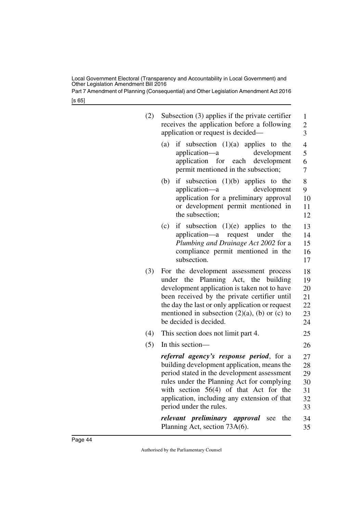Part 7 Amendment of Planning (Consequential) and Other Legislation Amendment Act 2016

[s 65]

| (2) | Subsection $(3)$ applies if the private certifier<br>receives the application before a following<br>application or request is decided—                                                                                                                                                                             | 1<br>$\overline{\mathbf{c}}$<br>$\overline{3}$ |
|-----|--------------------------------------------------------------------------------------------------------------------------------------------------------------------------------------------------------------------------------------------------------------------------------------------------------------------|------------------------------------------------|
|     | if subsection $(1)(a)$ applies to the<br>(a)<br>application—a<br>development<br>application<br>for each development<br>permit mentioned in the subsection;                                                                                                                                                         | $\overline{4}$<br>5<br>6<br>7                  |
|     | if subsection $(1)(b)$ applies to the<br>(b)<br>development<br>application—a<br>application for a preliminary approval<br>or development permit mentioned in<br>the subsection;                                                                                                                                    | 8<br>9<br>10<br>11<br>12                       |
|     | if subsection $(1)(e)$ applies to<br>(c)<br>the<br>application—a request under<br>the<br>Plumbing and Drainage Act 2002 for a<br>compliance permit mentioned in the<br>subsection.                                                                                                                                 | 13<br>14<br>15<br>16<br>17                     |
| (3) | For the development assessment process<br>Planning Act, the building<br>under the<br>development application is taken not to have<br>been received by the private certifier until<br>the day the last or only application or request<br>mentioned in subsection $(2)(a)$ , (b) or (c) to<br>be decided is decided. | 18<br>19<br>20<br>21<br>22<br>23<br>24         |
| (4) | This section does not limit part 4.                                                                                                                                                                                                                                                                                | 25                                             |
| (5) | In this section-                                                                                                                                                                                                                                                                                                   | 26                                             |
|     | referral agency's response period, for a<br>building development application, means the<br>period stated in the development assessment<br>rules under the Planning Act for complying<br>with section $56(4)$ of that Act for the<br>application, including any extension of that<br>period under the rules.        | 27<br>28<br>29<br>30<br>31<br>32<br>33         |
|     | relevant preliminary approval<br>the<br>see<br>Planning Act, section 73A(6).                                                                                                                                                                                                                                       | 34<br>35                                       |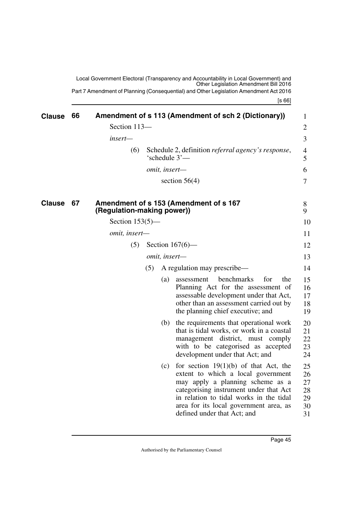<span id="page-46-1"></span><span id="page-46-0"></span>[s 66] Local Government Electoral (Transparency and Accountability in Local Government) and Other Legislation Amendment Bill 2016 Part 7 Amendment of Planning (Consequential) and Other Legislation Amendment Act 2016 **Clause 66 Amendment of s 113 (Amendment of sch 2 (Dictionary)) 1** Section 113 *insert—* (6) Schedule 2, definition *referral agency's response*, 'schedule 3' *omit, insert* section 56(4) **67** Amendment of s 153 (Amendment of s 167 **(Regulation-making power))** Section 153(5) *omit, insert—*

> <span id="page-46-3"></span><span id="page-46-2"></span>(5) Section 167(6)— 12

| omit, insert- |  |
|---------------|--|
|---------------|--|

|  | $(5)$ A regulation may prescribe— | 14 |
|--|-----------------------------------|----|
|--|-----------------------------------|----|

- (a) assessment benchmarks for the Planning Act for the assessment of assessable development under that Act, other than an assessment carried out by the planning chief executive; and 15 16 17 18 19
- (b) the requirements that operational work that is tidal works, or work in a coastal management district, must comply with to be categorised as accepted development under that Act; and 20 21 22 23 24
- (c) for section  $19(1)(b)$  of that Act, the extent to which a local government may apply a planning scheme as a categorising instrument under that Act in relation to tidal works in the tidal area for its local government area, as defined under that Act; and 25 26 27 28 29 30 31

 $\mathbf Q$ 10 11

13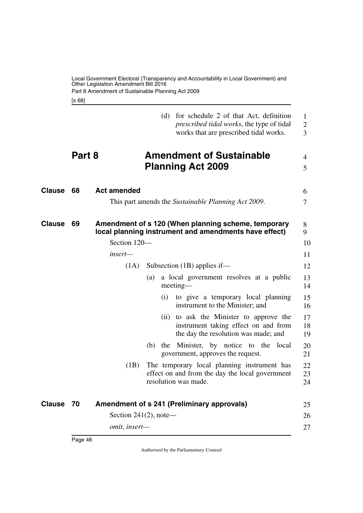<span id="page-47-5"></span><span id="page-47-3"></span><span id="page-47-1"></span><span id="page-47-0"></span>[s 68]

<span id="page-47-7"></span><span id="page-47-6"></span><span id="page-47-4"></span><span id="page-47-2"></span>

|               |        |                           |            | (d) for schedule 2 of that Act, definition<br>prescribed tidal works, the type of tidal<br>works that are prescribed tidal works. | $\mathbf{1}$<br>$\overline{2}$<br>3 |
|---------------|--------|---------------------------|------------|-----------------------------------------------------------------------------------------------------------------------------------|-------------------------------------|
|               | Part 8 |                           |            | <b>Amendment of Sustainable</b><br><b>Planning Act 2009</b>                                                                       | 4<br>5                              |
| <b>Clause</b> | 68     | <b>Act amended</b>        |            |                                                                                                                                   | 6                                   |
|               |        |                           |            | This part amends the <i>Sustainable Planning Act 2009</i> .                                                                       | 7                                   |
| <b>Clause</b> | 69     |                           |            | Amendment of s 120 (When planning scheme, temporary<br>local planning instrument and amendments have effect)                      | 8<br>9                              |
|               |        | Section 120-              |            |                                                                                                                                   | 10                                  |
|               |        | insert—                   |            |                                                                                                                                   | 11                                  |
|               |        | (1A)                      |            | Subsection $(1B)$ applies if—                                                                                                     | 12                                  |
|               |        |                           | (a)        | a local government resolves at a public<br>meeting-                                                                               | 13<br>14                            |
|               |        |                           |            | (i) to give a temporary local planning<br>instrument to the Minister; and                                                         | 15<br>16                            |
|               |        |                           |            | (ii) to ask the Minister to approve the<br>instrument taking effect on and from<br>the day the resolution was made; and           | 17<br>18<br>19                      |
|               |        |                           | (b)<br>the | Minister, by notice to the local<br>government, approves the request.                                                             | 20<br>21                            |
|               |        | (1B)                      |            | The temporary local planning instrument has<br>effect on and from the day the local government<br>resolution was made.            | 22<br>23<br>24                      |
| Clause        | 70     |                           |            | <b>Amendment of s 241 (Preliminary approvals)</b>                                                                                 | 25                                  |
|               |        | Section 241 $(2)$ , note— |            |                                                                                                                                   | 26                                  |
|               |        | omit, insert-             |            |                                                                                                                                   | 27                                  |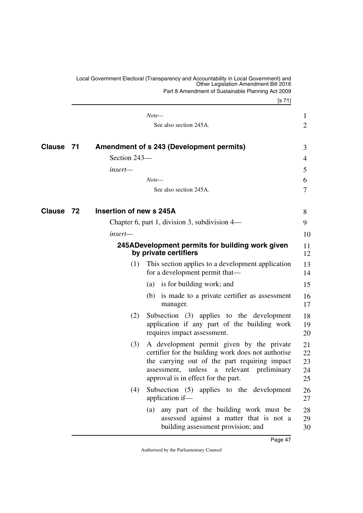<span id="page-48-5"></span><span id="page-48-4"></span><span id="page-48-3"></span><span id="page-48-2"></span><span id="page-48-1"></span><span id="page-48-0"></span>

|               |    |                         | Local Government Electoral (Transparency and Accountability in Local Government) and<br>Other Legislation Amendment Bill 2016                                                                                                              |                            |
|---------------|----|-------------------------|--------------------------------------------------------------------------------------------------------------------------------------------------------------------------------------------------------------------------------------------|----------------------------|
|               |    |                         | Part 8 Amendment of Sustainable Planning Act 2009<br>[s 71]                                                                                                                                                                                |                            |
|               |    |                         | $Note-$                                                                                                                                                                                                                                    | $\mathbf{1}$               |
|               |    |                         | See also section 245A.                                                                                                                                                                                                                     | 2                          |
| <b>Clause</b> | 71 |                         | <b>Amendment of s 243 (Development permits)</b>                                                                                                                                                                                            | 3                          |
|               |    | Section 243-            |                                                                                                                                                                                                                                            | 4                          |
|               |    | insert—                 |                                                                                                                                                                                                                                            | 5                          |
|               |    |                         | Note—                                                                                                                                                                                                                                      | 6                          |
|               |    |                         | See also section 245A.                                                                                                                                                                                                                     | 7                          |
| Clause        | 72 | Insertion of new s 245A |                                                                                                                                                                                                                                            | 8                          |
|               |    |                         | Chapter 6, part 1, division 3, subdivision 4—                                                                                                                                                                                              | 9                          |
|               |    | $insert-$               |                                                                                                                                                                                                                                            | 10                         |
|               |    |                         | 245ADevelopment permits for building work given<br>by private certifiers                                                                                                                                                                   | 11<br>12                   |
|               |    | (1)                     | This section applies to a development application<br>for a development permit that—                                                                                                                                                        | 13<br>14                   |
|               |    |                         | (a) is for building work; and                                                                                                                                                                                                              | 15                         |
|               |    |                         | (b) is made to a private certifier as assessment<br>manager.                                                                                                                                                                               | 16<br>17                   |
|               |    | (2)                     | Subsection (3) applies to the development<br>application if any part of the building work<br>requires impact assessment.                                                                                                                   | 18<br>19<br>20             |
|               |    | (3)                     | A development permit given by the private<br>certifier for the building work does not authorise<br>the carrying out of the part requiring impact<br>a relevant preliminary<br>assessment,<br>unless<br>approval is in effect for the part. | 21<br>22<br>23<br>24<br>25 |
|               |    | (4)                     | Subsection (5) applies to the development<br>application if-                                                                                                                                                                               | 26<br>27                   |
|               |    |                         | any part of the building work must be<br>(a)<br>assessed against a matter that is not a<br>building assessment provision; and                                                                                                              | 28<br>29<br>30             |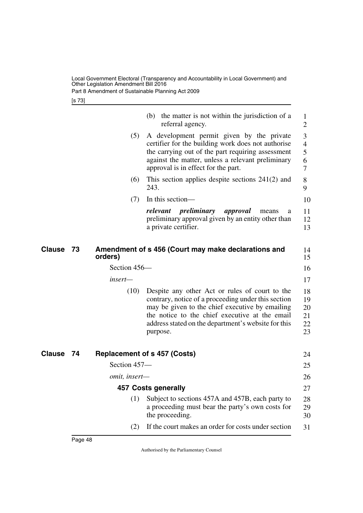Part 8 Amendment of Sustainable Planning Act 2009

<span id="page-49-5"></span><span id="page-49-1"></span>[s 73]

<span id="page-49-4"></span><span id="page-49-3"></span><span id="page-49-2"></span><span id="page-49-0"></span>

| (b) the matter is not within the jurisdiction of a<br>1                                                                                                                                                                                                                                               |
|-------------------------------------------------------------------------------------------------------------------------------------------------------------------------------------------------------------------------------------------------------------------------------------------------------|
| $\overline{2}$<br>A development permit given by the private<br>3<br>certifier for the building work does not authorise<br>$\overline{4}$<br>the carrying out of the part requiring assessment<br>5<br>against the matter, unless a relevant preliminary<br>6<br>7                                     |
| This section applies despite sections $241(2)$ and<br>8<br>9                                                                                                                                                                                                                                          |
| 10                                                                                                                                                                                                                                                                                                    |
| 11<br>means<br>a<br>preliminary approval given by an entity other than<br>12<br>13                                                                                                                                                                                                                    |
| Amendment of s 456 (Court may make declarations and<br>14<br>15                                                                                                                                                                                                                                       |
| 16                                                                                                                                                                                                                                                                                                    |
| 17                                                                                                                                                                                                                                                                                                    |
| Despite any other Act or rules of court to the<br>18<br>contrary, notice of a proceeding under this section<br>19<br>may be given to the chief executive by emailing<br>20<br>the notice to the chief executive at the email<br>21<br>address stated on the department's website for this<br>22<br>23 |
| 24                                                                                                                                                                                                                                                                                                    |
| 25                                                                                                                                                                                                                                                                                                    |
| 26                                                                                                                                                                                                                                                                                                    |
| 27                                                                                                                                                                                                                                                                                                    |
| Subject to sections 457A and 457B, each party to<br>28<br>a proceeding must bear the party's own costs for<br>29<br>30                                                                                                                                                                                |
| If the court makes an order for costs under section<br>31                                                                                                                                                                                                                                             |
|                                                                                                                                                                                                                                                                                                       |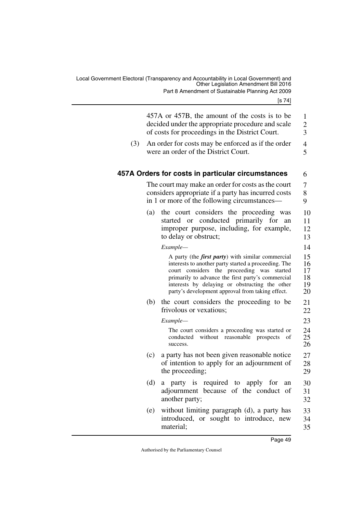<span id="page-50-1"></span><span id="page-50-0"></span>

|     |     | 457A or 457B, the amount of the costs is to be<br>decided under the appropriate procedure and scale<br>of costs for proceedings in the District Court.                                                                                                                                                                     | 1<br>$\frac{2}{3}$               |
|-----|-----|----------------------------------------------------------------------------------------------------------------------------------------------------------------------------------------------------------------------------------------------------------------------------------------------------------------------------|----------------------------------|
| (3) |     | An order for costs may be enforced as if the order<br>were an order of the District Court.                                                                                                                                                                                                                                 | $\overline{4}$<br>5              |
|     |     | 457A Orders for costs in particular circumstances                                                                                                                                                                                                                                                                          | 6                                |
|     |     | The court may make an order for costs as the court<br>considers appropriate if a party has incurred costs<br>in 1 or more of the following circumstances—                                                                                                                                                                  | 7<br>8<br>9                      |
|     | (a) | the court considers the proceeding was<br>or conducted primarily for an<br>started<br>improper purpose, including, for example,<br>to delay or obstruct;                                                                                                                                                                   | 10<br>11<br>12<br>13             |
|     |     | Example-                                                                                                                                                                                                                                                                                                                   | 14                               |
|     |     | A party (the <i>first party</i> ) with similar commercial<br>interests to another party started a proceeding. The<br>court considers the proceeding was started<br>primarily to advance the first party's commercial<br>interests by delaying or obstructing the other<br>party's development approval from taking effect. | 15<br>16<br>17<br>18<br>19<br>20 |
|     |     | (b) the court considers the proceeding to be<br>frivolous or vexatious;                                                                                                                                                                                                                                                    | 21<br>22                         |
|     |     | Example-                                                                                                                                                                                                                                                                                                                   | 23                               |
|     |     | The court considers a proceeding was started or<br>without<br>reasonable prospects<br>conducted<br>οf<br>success.                                                                                                                                                                                                          | 24<br>25<br>26                   |
|     | (c) | a party has not been given reasonable notice<br>of intention to apply for an adjournment of<br>the proceeding;                                                                                                                                                                                                             | 27<br>28<br>29                   |
|     | (d) | a party is required to apply for<br>an<br>adjournment because of the conduct of<br>another party;                                                                                                                                                                                                                          | 30<br>31<br>32                   |
|     | (e) | without limiting paragraph (d), a party has<br>introduced, or sought to introduce, new<br>material;                                                                                                                                                                                                                        | 33<br>34<br>35                   |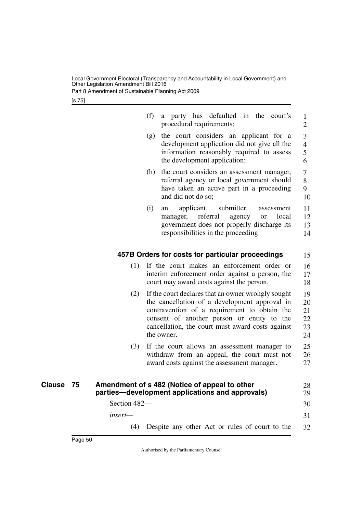Part 8 Amendment of Sustainable Planning Act 2009

<span id="page-51-1"></span><span id="page-51-0"></span>[s 75]

<span id="page-51-3"></span><span id="page-51-2"></span>

|                     |              | (f) | a party has defaulted in the court's<br>procedural requirements;                                                                                                                                                                                                    | 1<br>$\overline{2}$              |
|---------------------|--------------|-----|---------------------------------------------------------------------------------------------------------------------------------------------------------------------------------------------------------------------------------------------------------------------|----------------------------------|
|                     |              | (g) | the court considers an applicant for a<br>development application did not give all the<br>information reasonably required to assess<br>the development application;                                                                                                 | 3<br>$\overline{4}$<br>5<br>6    |
|                     |              |     | (h) the court considers an assessment manager,<br>referral agency or local government should<br>have taken an active part in a proceeding<br>and did not do so;                                                                                                     | $\tau$<br>8<br>9<br>10           |
|                     |              | (i) | submitter,<br>applicant,<br>assessment<br>an<br>referral<br>agency<br>local<br>manager,<br><b>or</b><br>government does not properly discharge its<br>responsibilities in the proceeding.                                                                           | 11<br>12<br>13<br>14             |
|                     |              |     | 457B Orders for costs for particular proceedings                                                                                                                                                                                                                    | 15                               |
|                     | (1)          |     | If the court makes an enforcement order or<br>interim enforcement order against a person, the<br>court may award costs against the person.                                                                                                                          | 16<br>17<br>18                   |
|                     | (2)          |     | If the court declares that an owner wrongly sought<br>the cancellation of a development approval in<br>contravention of a requirement to obtain the<br>consent of another person or entity to the<br>cancellation, the court must award costs against<br>the owner. | 19<br>20<br>21<br>22<br>23<br>24 |
|                     | (3)          |     | If the court allows an assessment manager to<br>withdraw from an appeal, the court must not<br>award costs against the assessment manager.                                                                                                                          | 25<br>26<br>27                   |
| <b>Clause</b><br>75 |              |     | Amendment of s 482 (Notice of appeal to other<br>parties-development applications and approvals)                                                                                                                                                                    | 28<br>29                         |
|                     | Section 482- |     |                                                                                                                                                                                                                                                                     | 30                               |
|                     | insert-      |     |                                                                                                                                                                                                                                                                     | 31                               |
|                     | (4)          |     | Despite any other Act or rules of court to the                                                                                                                                                                                                                      | 32                               |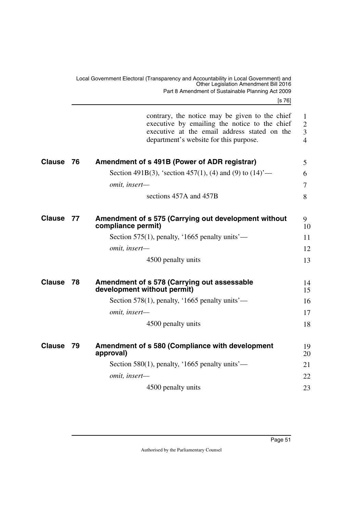[s 76]

<span id="page-52-7"></span><span id="page-52-6"></span><span id="page-52-5"></span><span id="page-52-4"></span><span id="page-52-3"></span><span id="page-52-2"></span><span id="page-52-1"></span><span id="page-52-0"></span>

|               |      | contrary, the notice may be given to the chief<br>executive by emailing the notice to the chief<br>executive at the email address stated on the<br>department's website for this purpose. | $\mathbf{1}$<br>$\overline{2}$<br>$\overline{3}$<br>$\overline{4}$ |
|---------------|------|-------------------------------------------------------------------------------------------------------------------------------------------------------------------------------------------|--------------------------------------------------------------------|
| <b>Clause</b> | - 76 | Amendment of s 491B (Power of ADR registrar)                                                                                                                                              | 5                                                                  |
|               |      | Section 491B(3), 'section 457(1), (4) and (9) to $(14)$ '—                                                                                                                                | 6                                                                  |
|               |      | omit, insert-                                                                                                                                                                             | $\overline{7}$                                                     |
|               |      | sections 457A and 457B                                                                                                                                                                    | 8                                                                  |
| <b>Clause</b> | 77   | Amendment of s 575 (Carrying out development without<br>compliance permit)                                                                                                                | 9<br>10                                                            |
|               |      | Section 575(1), penalty, '1665 penalty units'—                                                                                                                                            | 11                                                                 |
|               |      | omit, insert-                                                                                                                                                                             | 12                                                                 |
|               |      | 4500 penalty units                                                                                                                                                                        | 13                                                                 |
| <b>Clause</b> | 78   | Amendment of s 578 (Carrying out assessable<br>development without permit)                                                                                                                | 14<br>15                                                           |
|               |      | Section 578(1), penalty, '1665 penalty units'—                                                                                                                                            | 16                                                                 |
|               |      | omit, insert-                                                                                                                                                                             | 17                                                                 |
|               |      | 4500 penalty units                                                                                                                                                                        | 18                                                                 |
| <b>Clause</b> | 79   | Amendment of s 580 (Compliance with development<br>approval)                                                                                                                              | 19<br>20                                                           |
|               |      | Section 580(1), penalty, '1665 penalty units'—                                                                                                                                            | 21                                                                 |
|               |      | omit, insert-                                                                                                                                                                             | 22                                                                 |
|               |      | 4500 penalty units                                                                                                                                                                        | 23                                                                 |
|               |      |                                                                                                                                                                                           |                                                                    |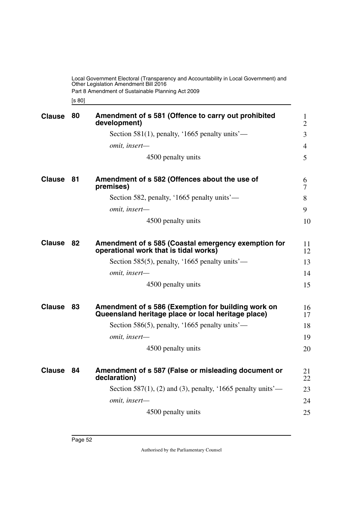Part 8 Amendment of Sustainable Planning Act 2009

<span id="page-53-3"></span><span id="page-53-1"></span><span id="page-53-0"></span>[s 80]

<span id="page-53-9"></span><span id="page-53-8"></span><span id="page-53-7"></span><span id="page-53-6"></span><span id="page-53-5"></span><span id="page-53-4"></span><span id="page-53-2"></span>

| <b>Clause</b> | 80 | Amendment of s 581 (Offence to carry out prohibited<br>development)                                      | $\mathbf{1}$<br>$\overline{2}$ |
|---------------|----|----------------------------------------------------------------------------------------------------------|--------------------------------|
|               |    | Section 581(1), penalty, '1665 penalty units'—                                                           | 3                              |
|               |    | omit, insert-                                                                                            | $\overline{4}$                 |
|               |    | 4500 penalty units                                                                                       | 5                              |
| <b>Clause</b> | 81 | Amendment of s 582 (Offences about the use of<br>premises)                                               | 6<br>7                         |
|               |    | Section 582, penalty, '1665 penalty units'—                                                              | 8                              |
|               |    | omit, insert-                                                                                            | 9                              |
|               |    | 4500 penalty units                                                                                       | 10                             |
| <b>Clause</b> | 82 | Amendment of s 585 (Coastal emergency exemption for<br>operational work that is tidal works)             | 11<br>12                       |
|               |    | Section 585(5), penalty, '1665 penalty units'—                                                           | 13                             |
|               |    | omit, insert-                                                                                            | 14                             |
|               |    | 4500 penalty units                                                                                       | 15                             |
| <b>Clause</b> | 83 | Amendment of s 586 (Exemption for building work on<br>Queensland heritage place or local heritage place) | 16<br>17                       |
|               |    | Section 586(5), penalty, '1665 penalty units'—                                                           | 18                             |
|               |    | omit, insert-                                                                                            | 19                             |
|               |    | 4500 penalty units                                                                                       | 20                             |
| <b>Clause</b> | 84 | Amendment of s 587 (False or misleading document or<br>declaration)                                      | 21<br>22                       |
|               |    | Section 587(1), (2) and (3), penalty, '1665 penalty units'—                                              | 23                             |
|               |    | omit, insert-                                                                                            | 24                             |
|               |    | 4500 penalty units                                                                                       | 25                             |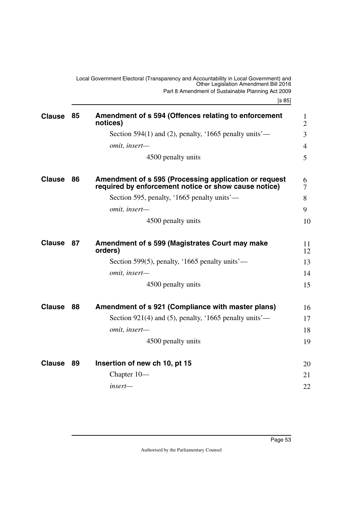[s 85]

<span id="page-54-9"></span><span id="page-54-8"></span><span id="page-54-7"></span><span id="page-54-6"></span><span id="page-54-5"></span><span id="page-54-4"></span><span id="page-54-3"></span><span id="page-54-2"></span><span id="page-54-1"></span><span id="page-54-0"></span>

| <b>Clause</b> | 85 | Amendment of s 594 (Offences relating to enforcement<br>notices)                                              | $\mathbf{1}$<br>$\overline{2}$ |
|---------------|----|---------------------------------------------------------------------------------------------------------------|--------------------------------|
|               |    | Section 594(1) and (2), penalty, '1665 penalty units'—                                                        | 3                              |
|               |    | omit, insert-                                                                                                 | 4                              |
|               |    | 4500 penalty units                                                                                            | 5                              |
| <b>Clause</b> | 86 | Amendment of s 595 (Processing application or request<br>required by enforcement notice or show cause notice) | 6<br>7                         |
|               |    | Section 595, penalty, '1665 penalty units'—                                                                   | 8                              |
|               |    | omit, insert-                                                                                                 | 9                              |
|               |    | 4500 penalty units                                                                                            | 10                             |
| <b>Clause</b> | 87 | Amendment of s 599 (Magistrates Court may make<br>orders)                                                     | 11<br>12                       |
|               |    | Section 599(5), penalty, '1665 penalty units'—                                                                | 13                             |
|               |    | omit, insert-                                                                                                 | 14                             |
|               |    | 4500 penalty units                                                                                            | 15                             |
| <b>Clause</b> | 88 | Amendment of s 921 (Compliance with master plans)                                                             | 16                             |
|               |    | Section 921(4) and (5), penalty, '1665 penalty units'—                                                        | 17                             |
|               |    | omit, insert-                                                                                                 | 18                             |
|               |    | 4500 penalty units                                                                                            | 19                             |
| <b>Clause</b> | 89 | Insertion of new ch 10, pt 15                                                                                 | 20                             |
|               |    | Chapter 10-                                                                                                   | 21                             |
|               |    | insert-                                                                                                       | 22                             |
|               |    |                                                                                                               |                                |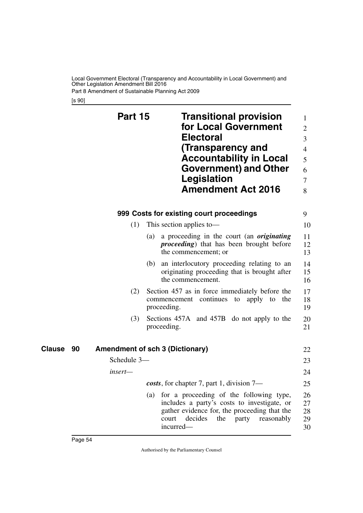Part 8 Amendment of Sustainable Planning Act 2009

<span id="page-55-3"></span><span id="page-55-2"></span><span id="page-55-1"></span><span id="page-55-0"></span>[s 90]

<span id="page-55-5"></span><span id="page-55-4"></span>

|                     | Part 15     | <b>Transitional provision</b><br>for Local Government<br><b>Electoral</b><br>(Transparency and<br><b>Accountability in Local</b><br>Government) and Other<br>Legislation<br><b>Amendment Act 2016</b>        | 1<br>$\overline{2}$<br>3<br>$\overline{4}$<br>5<br>6<br>7<br>8 |
|---------------------|-------------|--------------------------------------------------------------------------------------------------------------------------------------------------------------------------------------------------------------|----------------------------------------------------------------|
|                     |             | 999 Costs for existing court proceedings                                                                                                                                                                     | 9                                                              |
|                     | (1)         | This section applies to-                                                                                                                                                                                     | 10                                                             |
|                     |             | a proceeding in the court (an <i>originating</i><br>(a)<br><i>proceeding</i> ) that has been brought before<br>the commencement; or                                                                          | 11<br>12<br>13                                                 |
|                     |             | an interlocutory proceeding relating to an<br>(b)<br>originating proceeding that is brought after<br>the commencement.                                                                                       | 14<br>15<br>16                                                 |
|                     | (2)         | Section 457 as in force immediately before the<br>commencement continues to apply to<br>the<br>proceeding.                                                                                                   | 17<br>18<br>19                                                 |
|                     | (3)         | Sections 457A and 457B do not apply to the<br>proceeding.                                                                                                                                                    | 20<br>21                                                       |
| <b>Clause</b><br>90 |             | <b>Amendment of sch 3 (Dictionary)</b>                                                                                                                                                                       | 22                                                             |
|                     | Schedule 3- |                                                                                                                                                                                                              | 23                                                             |
|                     | insert—     |                                                                                                                                                                                                              | 24                                                             |
|                     |             | costs, for chapter 7, part 1, division 7—                                                                                                                                                                    | 25                                                             |
|                     |             | for a proceeding of the following type,<br>(a)<br>includes a party's costs to investigate, or<br>gather evidence for, the proceeding that the<br>decides<br>the<br>court<br>party<br>reasonably<br>incurred- | 26<br>27<br>28<br>29<br>30                                     |